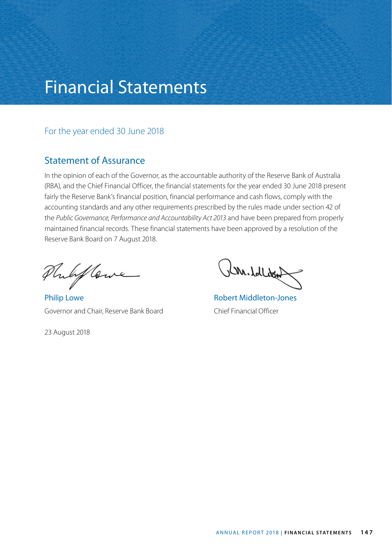# Financial Statements

## For the year ended 30 June 2018

# Statement of Assurance

In the opinion of each of the Governor, as the accountable authority of the Reserve Bank of Australia (RBA), and the Chief Financial Officer, the financial statements for the year ended 30 June 2018 present fairly the Reserve Bank's financial position, financial performance and cash flows, comply with the accounting standards and any other requirements prescribed by the rules made under section 42 of the *Public Governance, Performance and Accountability Act 2013* and have been prepared from properly maintained financial records. These financial statements have been approved by a resolution of the Reserve Bank Board on 7 August 2018.

Philip Coure

Philip Lowe **Robert Middleton-Jones** Governor and Chair, Reserve Bank Board Chief Financial Officer

23 August 2018

Ru. blbo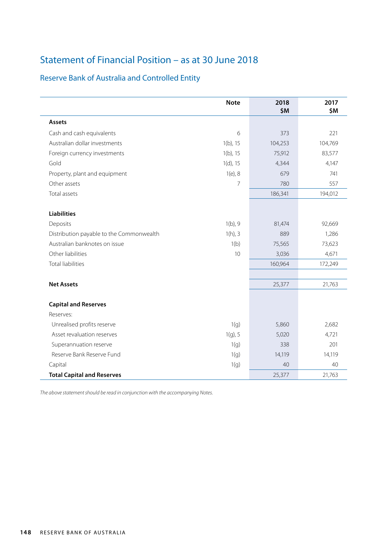# Statement of Financial Position – as at 30 June 2018

# Reserve Bank of Australia and Controlled Entity

|                                          | <b>Note</b> | 2018<br>\$M | 2017<br>\$M |
|------------------------------------------|-------------|-------------|-------------|
| <b>Assets</b>                            |             |             |             |
| Cash and cash equivalents                | 6           | 373         | 221         |
| Australian dollar investments            | $1(b)$ , 15 | 104,253     | 104,769     |
| Foreign currency investments             | $1(b)$ , 15 | 75,912      | 83,577      |
| Gold                                     | $1(d)$ , 15 | 4,344       | 4,147       |
| Property, plant and equipment            | $1(e)$ , 8  | 679         | 741         |
| Other assets                             | 7           | 780         | 557         |
| Total assets                             |             | 186,341     | 194,012     |
| <b>Liabilities</b>                       |             |             |             |
| Deposits                                 | $1(b)$ , 9  | 81,474      | 92,669      |
| Distribution payable to the Commonwealth | $1(h)$ , 3  | 889         | 1,286       |
| Australian banknotes on issue            | 1(b)        | 75,565      | 73,623      |
| Other liabilities                        | 10          | 3,036       | 4,671       |
| <b>Total liabilities</b>                 |             | 160,964     | 172,249     |
| <b>Net Assets</b>                        |             | 25,377      | 21,763      |
| <b>Capital and Reserves</b>              |             |             |             |
| Reserves:                                |             |             |             |
| Unrealised profits reserve               | 1(q)        | 5,860       | 2,682       |
| Asset revaluation reserves               | $1(g)$ , 5  | 5,020       | 4,721       |
| Superannuation reserve                   | 1(g)        | 338         | 201         |
| Reserve Bank Reserve Fund                | 1(q)        | 14,119      | 14,119      |
| Capital                                  | 1(q)        | 40          | 40          |
| <b>Total Capital and Reserves</b>        |             | 25,377      | 21,763      |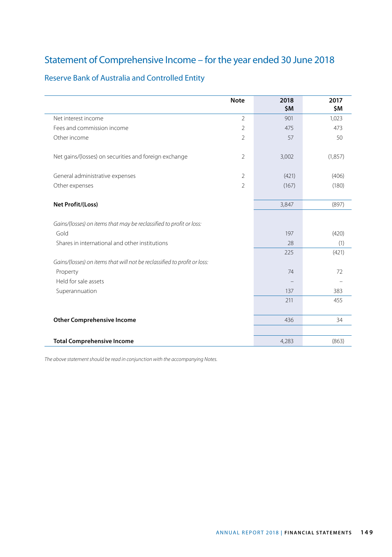# Statement of Comprehensive Income – for the year ended 30 June 2018

|                                                                          | <b>Note</b>    | 2018<br>\$M | 2017<br>\$M |
|--------------------------------------------------------------------------|----------------|-------------|-------------|
| Net interest income                                                      | $\mathfrak{D}$ | 901         | 1,023       |
| Fees and commission income                                               | $\overline{2}$ | 475         | 473         |
| Other income                                                             | $\overline{2}$ | 57          | 50          |
| Net gains/(losses) on securities and foreign exchange                    | $\overline{2}$ | 3,002       | (1,857)     |
| General administrative expenses                                          | $\overline{2}$ | (421)       | (406)       |
| Other expenses                                                           | $\overline{2}$ | (167)       | (180)       |
| Net Profit/(Loss)                                                        |                | 3,847       | (897)       |
| Gains/(losses) on items that may be reclassified to profit or loss:      |                |             |             |
| Gold                                                                     |                | 197         | (420)       |
| Shares in international and other institutions                           |                | 28          | (1)         |
|                                                                          |                | 225         | (421)       |
| Gains/(losses) on items that will not be reclassified to profit or loss: |                |             |             |
| Property                                                                 |                | 74          | 72          |
| Held for sale assets                                                     |                |             |             |
| Superannuation                                                           |                | 137         | 383         |
|                                                                          |                | 211         | 455         |
| <b>Other Comprehensive Income</b>                                        |                | 436         | 34          |
| <b>Total Comprehensive Income</b>                                        |                | 4,283       | (863)       |

# Reserve Bank of Australia and Controlled Entity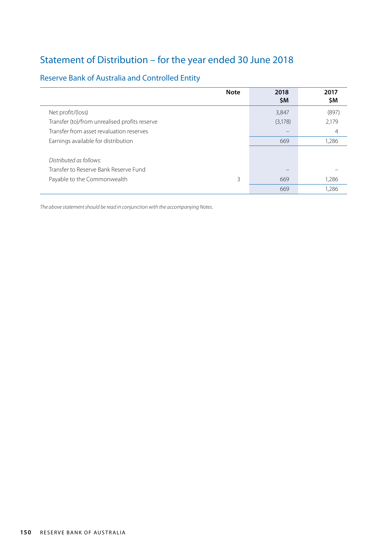# Statement of Distribution – for the year ended 30 June 2018

# Reserve Bank of Australia and Controlled Entity

| <b>Note</b>                                   | 2018<br><b>SM</b> | 2017<br>\$M |
|-----------------------------------------------|-------------------|-------------|
| Net profit/(loss)                             | 3,847             | (897)       |
| Transfer (to)/from unrealised profits reserve | (3,178)           | 2,179       |
| Transfer from asset revaluation reserves      |                   | 4           |
| Earnings available for distribution           | 669               | 1.286       |
|                                               |                   |             |
| Distributed as follows:                       |                   |             |
| Transfer to Reserve Bank Reserve Fund         |                   |             |
| Payable to the Commonwealth<br>3              | 669               | 1,286       |
|                                               | 669               | 1.286       |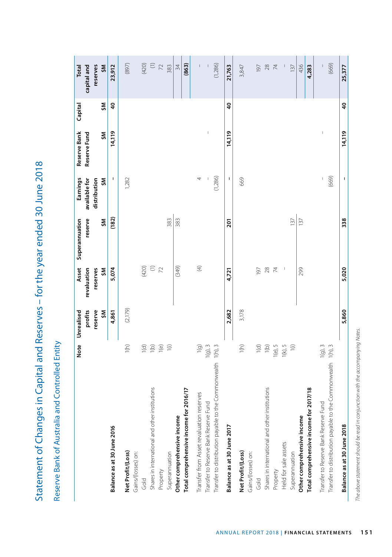Statement of Changes in Capital and Reserves - for the year ended 30 June 2018 Statement of Changes in Capital and Reserves – for the year ended 30 June 2018

Reserve Bank of Australia and Controlled Entity Reserve Bank of Australia and Controlled Entity

|                                                              | <b>Note</b>              | Unrealised | Asset                    | Superannuation | Earnings                                                                                                                                                                                                                                                                                                                                                                         | Reserve Bank                                                                                                                                                                                                                                                                                                                                                                     | Capital         | Total                                                                    |
|--------------------------------------------------------------|--------------------------|------------|--------------------------|----------------|----------------------------------------------------------------------------------------------------------------------------------------------------------------------------------------------------------------------------------------------------------------------------------------------------------------------------------------------------------------------------------|----------------------------------------------------------------------------------------------------------------------------------------------------------------------------------------------------------------------------------------------------------------------------------------------------------------------------------------------------------------------------------|-----------------|--------------------------------------------------------------------------|
|                                                              |                          | profits    | revaluation              | reserve        | available for                                                                                                                                                                                                                                                                                                                                                                    | Reserve Fund                                                                                                                                                                                                                                                                                                                                                                     |                 | capital and                                                              |
|                                                              |                          | reserve    | reserves                 |                | distribution<br>ŠM                                                                                                                                                                                                                                                                                                                                                               |                                                                                                                                                                                                                                                                                                                                                                                  | ŠM              | reserves                                                                 |
|                                                              |                          | ŠM         | ŠM                       | ŠM             |                                                                                                                                                                                                                                                                                                                                                                                  | ŠM                                                                                                                                                                                                                                                                                                                                                                               |                 | ŠM                                                                       |
| Balance as at 30 June 2016                                   |                          | 4,861      | 5,074                    | (182)          | ı                                                                                                                                                                                                                                                                                                                                                                                | 14,119                                                                                                                                                                                                                                                                                                                                                                           | $\overline{4}$  | 23,912                                                                   |
| Net Profit/(Loss)                                            | 1(h)                     | (2,179)    |                          |                | 1,282                                                                                                                                                                                                                                                                                                                                                                            |                                                                                                                                                                                                                                                                                                                                                                                  |                 | (897)                                                                    |
| Gains/(losses) on:                                           |                          |            |                          |                |                                                                                                                                                                                                                                                                                                                                                                                  |                                                                                                                                                                                                                                                                                                                                                                                  |                 |                                                                          |
| Gold                                                         | $\left(\bigcirc\right)$  |            | (420)                    |                |                                                                                                                                                                                                                                                                                                                                                                                  |                                                                                                                                                                                                                                                                                                                                                                                  |                 | (024)                                                                    |
| Shares in international and other institutions               | $\overline{1}$ (b)       |            | $\epsilon_{\rm R}$       |                |                                                                                                                                                                                                                                                                                                                                                                                  |                                                                                                                                                                                                                                                                                                                                                                                  |                 |                                                                          |
| Property                                                     | 1(e)                     |            |                          |                |                                                                                                                                                                                                                                                                                                                                                                                  |                                                                                                                                                                                                                                                                                                                                                                                  |                 | $\begin{array}{c} \text{(i)} \\ \text{(ii)} \\ \text{(iii)} \end{array}$ |
| Superannuation                                               | $\widehat{=}$            |            |                          | 383            |                                                                                                                                                                                                                                                                                                                                                                                  |                                                                                                                                                                                                                                                                                                                                                                                  |                 | 383                                                                      |
| Other comprehensive income                                   |                          |            | (349)                    | 383            |                                                                                                                                                                                                                                                                                                                                                                                  |                                                                                                                                                                                                                                                                                                                                                                                  |                 | 34                                                                       |
| Total comprehensive income for 2016/17                       |                          |            |                          |                |                                                                                                                                                                                                                                                                                                                                                                                  |                                                                                                                                                                                                                                                                                                                                                                                  |                 | (863)                                                                    |
| Transfer from Asset revaluation reserves                     | $1$ (g)                  |            | $\bigoplus$              |                | 4                                                                                                                                                                                                                                                                                                                                                                                |                                                                                                                                                                                                                                                                                                                                                                                  |                 | $\overline{\phantom{a}}$                                                 |
| Transfer to Reserve Bank Reserve Fund                        | $1(g)$ , $3$             |            |                          |                |                                                                                                                                                                                                                                                                                                                                                                                  | $\overline{1}$                                                                                                                                                                                                                                                                                                                                                                   |                 |                                                                          |
| Transfer to distribution payable to the Commonwealth         | 1(h), 3                  |            |                          |                | (1,286)                                                                                                                                                                                                                                                                                                                                                                          |                                                                                                                                                                                                                                                                                                                                                                                  |                 | (1, 286)                                                                 |
| Balance as at 30 June 2017                                   |                          | 2,682      | 4,721                    | <b>zor</b>     | 1                                                                                                                                                                                                                                                                                                                                                                                | 14,119                                                                                                                                                                                                                                                                                                                                                                           | $\overline{40}$ | 21,763                                                                   |
| Net Profit/(Loss)                                            | 1(h)                     | 3,178      |                          |                | 669                                                                                                                                                                                                                                                                                                                                                                              |                                                                                                                                                                                                                                                                                                                                                                                  |                 | 3,847                                                                    |
| Gains/(losses) on:                                           |                          |            |                          |                |                                                                                                                                                                                                                                                                                                                                                                                  |                                                                                                                                                                                                                                                                                                                                                                                  |                 |                                                                          |
| Gold                                                         | 1(d)                     |            | 197                      |                |                                                                                                                                                                                                                                                                                                                                                                                  |                                                                                                                                                                                                                                                                                                                                                                                  |                 | $\overline{61}$                                                          |
| Shares in international and other institutions               | 1(b)                     |            | $28$ $74$                |                |                                                                                                                                                                                                                                                                                                                                                                                  |                                                                                                                                                                                                                                                                                                                                                                                  |                 | $28$                                                                     |
| Property                                                     | $1(e)$ , $5$             |            |                          |                |                                                                                                                                                                                                                                                                                                                                                                                  |                                                                                                                                                                                                                                                                                                                                                                                  |                 | $\, \asymp \,$                                                           |
| Held for sale assets                                         | $1(k)$ , 5               |            | $\overline{\phantom{a}}$ |                |                                                                                                                                                                                                                                                                                                                                                                                  |                                                                                                                                                                                                                                                                                                                                                                                  |                 |                                                                          |
| Superannuation                                               | $\left  {}\right\rangle$ |            |                          | 137            |                                                                                                                                                                                                                                                                                                                                                                                  |                                                                                                                                                                                                                                                                                                                                                                                  |                 | 137                                                                      |
| Other comprehensive income                                   |                          |            | 299                      | 137            |                                                                                                                                                                                                                                                                                                                                                                                  |                                                                                                                                                                                                                                                                                                                                                                                  |                 | 436                                                                      |
| Total comprehensive income for 2017/18                       |                          |            |                          |                |                                                                                                                                                                                                                                                                                                                                                                                  |                                                                                                                                                                                                                                                                                                                                                                                  |                 | 4,283                                                                    |
| Transfer to Reserve Bank Reserve Fund                        | $1(g)$ , $3$             |            |                          |                | $\begin{array}{c} \rule{0pt}{2.5ex} \rule{0pt}{2.5ex} \rule{0pt}{2.5ex} \rule{0pt}{2.5ex} \rule{0pt}{2.5ex} \rule{0pt}{2.5ex} \rule{0pt}{2.5ex} \rule{0pt}{2.5ex} \rule{0pt}{2.5ex} \rule{0pt}{2.5ex} \rule{0pt}{2.5ex} \rule{0pt}{2.5ex} \rule{0pt}{2.5ex} \rule{0pt}{2.5ex} \rule{0pt}{2.5ex} \rule{0pt}{2.5ex} \rule{0pt}{2.5ex} \rule{0pt}{2.5ex} \rule{0pt}{2.5ex} \rule{0$ | $\begin{array}{c} \rule{0pt}{2.5ex} \rule{0pt}{2.5ex} \rule{0pt}{2.5ex} \rule{0pt}{2.5ex} \rule{0pt}{2.5ex} \rule{0pt}{2.5ex} \rule{0pt}{2.5ex} \rule{0pt}{2.5ex} \rule{0pt}{2.5ex} \rule{0pt}{2.5ex} \rule{0pt}{2.5ex} \rule{0pt}{2.5ex} \rule{0pt}{2.5ex} \rule{0pt}{2.5ex} \rule{0pt}{2.5ex} \rule{0pt}{2.5ex} \rule{0pt}{2.5ex} \rule{0pt}{2.5ex} \rule{0pt}{2.5ex} \rule{0$ |                 |                                                                          |
| Transfer to distribution payable to the Commonwealth 1(h), 3 |                          |            |                          |                | (669)                                                                                                                                                                                                                                                                                                                                                                            |                                                                                                                                                                                                                                                                                                                                                                                  |                 | (669)                                                                    |
| Balance as at 30 June 2018                                   |                          | 5,860      | 5,020                    | 338            | $\sf I$                                                                                                                                                                                                                                                                                                                                                                          | 14,119                                                                                                                                                                                                                                                                                                                                                                           | $\overline{4}$  | 25,377                                                                   |

The above statement should be read in conjunction with the accompanying Notes. *The above statement should be read in conjunction with the accompanying Notes.*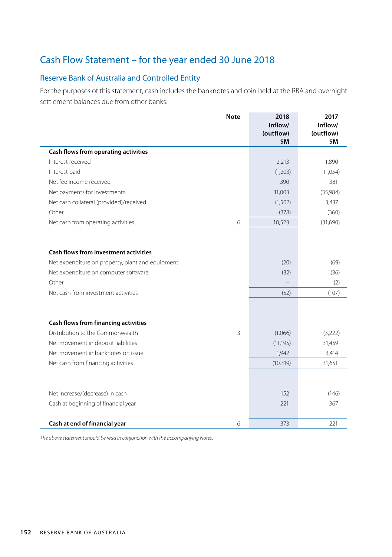# Cash Flow Statement – for the year ended 30 June 2018

## Reserve Bank of Australia and Controlled Entity

For the purposes of this statement, cash includes the banknotes and coin held at the RBA and overnight settlement balances due from other banks.

|                                                  | <b>Note</b> | 2018<br>Inflow/  | 2017<br>Inflow/        |
|--------------------------------------------------|-------------|------------------|------------------------|
|                                                  |             | (outflow)<br>\$M | (outflow)<br><b>SΜ</b> |
| Cash flows from operating activities             |             |                  |                        |
| Interest received                                |             | 2,213            | 1,890                  |
| Interest paid                                    |             | (1,203)          | (1,054)                |
| Net fee income received                          |             | 390              | 381                    |
| Net payments for investments                     |             | 11,003           | (35,984)               |
| Net cash collateral (provided)/received          |             | (1, 502)         | 3,437                  |
| Other                                            |             | (378)            | (360)                  |
| Net cash from operating activities               | 6           | 10,523           | (31,690)               |
| Cash flows from investment activities            |             |                  |                        |
| Net expenditure on property, plant and equipment |             | (20)             | (69)                   |
| Net expenditure on computer software             |             | (32)             | (36)                   |
| Other                                            |             |                  | (2)                    |
| Net cash from investment activities              |             | (52)             | (107)                  |
| Cash flows from financing activities             |             |                  |                        |
| Distribution to the Commonwealth                 | 3           | (1,066)          | (3,222)                |
| Net movement in deposit liabilities              |             | (11, 195)        | 31,459                 |
| Net movement in banknotes on issue               |             | 1,942            | 3,414                  |
| Net cash from financing activities               |             | (10, 319)        | 31,651                 |
| Net increase/(decrease) in cash                  |             | 152              | (146)                  |
| Cash at beginning of financial year              |             | 221              | 367                    |
| Cash at end of financial year                    | 6           | 373              | 221                    |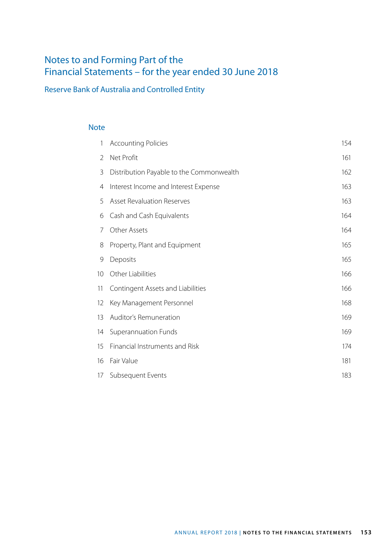# Notes to and Forming Part of the Financial Statements – for the year ended 30 June 2018

# Reserve Bank of Australia and Controlled Entity

### Note

| 1  | <b>Accounting Policies</b>               | 154 |
|----|------------------------------------------|-----|
| 2  | Net Profit                               | 161 |
| 3  | Distribution Payable to the Commonwealth | 162 |
| 4  | Interest Income and Interest Expense     | 163 |
| 5  | <b>Asset Revaluation Reserves</b>        | 163 |
| 6  | Cash and Cash Equivalents                | 164 |
| 7  | Other Assets                             | 164 |
| 8  | Property, Plant and Equipment            | 165 |
| 9  | Deposits                                 | 165 |
| 10 | Other Liabilities                        | 166 |
| 11 | Contingent Assets and Liabilities        | 166 |
| 12 | Key Management Personnel                 | 168 |
| 13 | Auditor's Remuneration                   | 169 |
| 14 | Superannuation Funds                     | 169 |
| 15 | Financial Instruments and Risk           | 174 |
| 16 | Fair Value                               | 181 |
| 17 | Subsequent Events                        | 183 |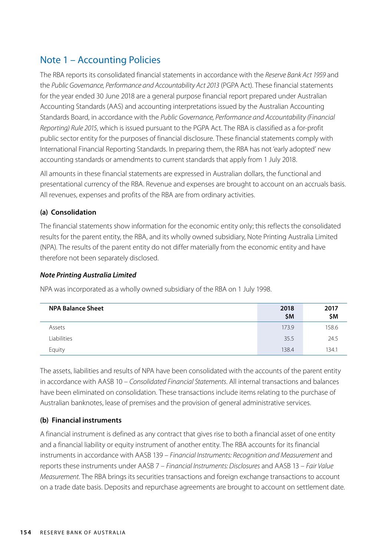# Note 1 – Accounting Policies

The RBA reports its consolidated financial statements in accordance with the *Reserve Bank Act 1959* and the *Public Governance, Performance and Accountability Act 2013* (PGPA Act). These financial statements for the year ended 30 June 2018 are a general purpose financial report prepared under Australian Accounting Standards (AAS) and accounting interpretations issued by the Australian Accounting Standards Board, in accordance with the *Public Governance, Performance and Accountability (Financial Reporting) Rule 2015*, which is issued pursuant to the PGPA Act. The RBA is classified as a for-profit public sector entity for the purposes of financial disclosure. These financial statements comply with International Financial Reporting Standards. In preparing them, the RBA has not 'early adopted' new accounting standards or amendments to current standards that apply from 1 July 2018.

All amounts in these financial statements are expressed in Australian dollars, the functional and presentational currency of the RBA. Revenue and expenses are brought to account on an accruals basis. All revenues, expenses and profits of the RBA are from ordinary activities.

### **(a) Consolidation**

The financial statements show information for the economic entity only; this reflects the consolidated results for the parent entity, the RBA, and its wholly owned subsidiary, Note Printing Australia Limited (NPA). The results of the parent entity do not differ materially from the economic entity and have therefore not been separately disclosed.

### *Note Printing Australia Limited*

NPA was incorporated as a wholly owned subsidiary of the RBA on 1 July 1998.

| <b>NPA Balance Sheet</b> | 2018<br>\$M | 2017<br>\$M |
|--------------------------|-------------|-------------|
| Assets                   | 173.9       | 158.6       |
| Liabilities              | 35.5        | 24.5        |
| Equity                   | 138.4       | 134.1       |

The assets, liabilities and results of NPA have been consolidated with the accounts of the parent entity in accordance with AASB 10 – *Consolidated Financial Statements*. All internal transactions and balances have been eliminated on consolidation. These transactions include items relating to the purchase of Australian banknotes, lease of premises and the provision of general administrative services.

### **(b) Financial instruments**

A financial instrument is defined as any contract that gives rise to both a financial asset of one entity and a financial liability or equity instrument of another entity. The RBA accounts for its financial instruments in accordance with AASB 139 – *Financial Instruments: Recognition and Measurement* and reports these instruments under AASB 7 – *Financial Instruments: Disclosures* and AASB 13 – *Fair Value Measurement*. The RBA brings its securities transactions and foreign exchange transactions to account on a trade date basis. Deposits and repurchase agreements are brought to account on settlement date.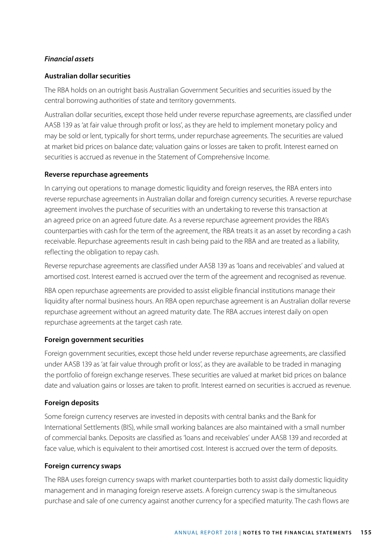## *Financial assets*

### **Australian dollar securities**

The RBA holds on an outright basis Australian Government Securities and securities issued by the central borrowing authorities of state and territory governments.

Australian dollar securities, except those held under reverse repurchase agreements, are classified under AASB 139 as 'at fair value through profit or loss', as they are held to implement monetary policy and may be sold or lent, typically for short terms, under repurchase agreements. The securities are valued at market bid prices on balance date; valuation gains or losses are taken to profit. Interest earned on securities is accrued as revenue in the Statement of Comprehensive Income.

### **Reverse repurchase agreements**

In carrying out operations to manage domestic liquidity and foreign reserves, the RBA enters into reverse repurchase agreements in Australian dollar and foreign currency securities. A reverse repurchase agreement involves the purchase of securities with an undertaking to reverse this transaction at an agreed price on an agreed future date. As a reverse repurchase agreement provides the RBA's counterparties with cash for the term of the agreement, the RBA treats it as an asset by recording a cash receivable. Repurchase agreements result in cash being paid to the RBA and are treated as a liability, reflecting the obligation to repay cash.

Reverse repurchase agreements are classified under AASB 139 as 'loans and receivables' and valued at amortised cost. Interest earned is accrued over the term of the agreement and recognised as revenue.

RBA open repurchase agreements are provided to assist eligible financial institutions manage their liquidity after normal business hours. An RBA open repurchase agreement is an Australian dollar reverse repurchase agreement without an agreed maturity date. The RBA accrues interest daily on open repurchase agreements at the target cash rate.

### **Foreign government securities**

Foreign government securities, except those held under reverse repurchase agreements, are classified under AASB 139 as 'at fair value through profit or loss', as they are available to be traded in managing the portfolio of foreign exchange reserves. These securities are valued at market bid prices on balance date and valuation gains or losses are taken to profit. Interest earned on securities is accrued as revenue.

### **Foreign deposits**

Some foreign currency reserves are invested in deposits with central banks and the Bank for International Settlements (BIS), while small working balances are also maintained with a small number of commercial banks. Deposits are classified as 'loans and receivables' under AASB 139 and recorded at face value, which is equivalent to their amortised cost. Interest is accrued over the term of deposits.

### **Foreign currency swaps**

The RBA uses foreign currency swaps with market counterparties both to assist daily domestic liquidity management and in managing foreign reserve assets. A foreign currency swap is the simultaneous purchase and sale of one currency against another currency for a specified maturity. The cash flows are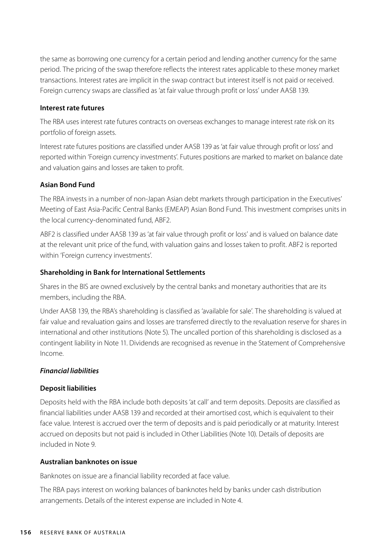the same as borrowing one currency for a certain period and lending another currency for the same period. The pricing of the swap therefore reflects the interest rates applicable to these money market transactions. Interest rates are implicit in the swap contract but interest itself is not paid or received. Foreign currency swaps are classified as 'at fair value through profit or loss' under AASB 139.

#### **Interest rate futures**

The RBA uses interest rate futures contracts on overseas exchanges to manage interest rate risk on its portfolio of foreign assets.

Interest rate futures positions are classified under AASB 139 as 'at fair value through profit or loss' and reported within 'Foreign currency investments'. Futures positions are marked to market on balance date and valuation gains and losses are taken to profit.

### **Asian Bond Fund**

The RBA invests in a number of non-Japan Asian debt markets through participation in the Executives' Meeting of East Asia-Pacific Central Banks (EMEAP) Asian Bond Fund. This investment comprises units in the local currency-denominated fund, ABF2.

ABF2 is classified under AASB 139 as 'at fair value through profit or loss' and is valued on balance date at the relevant unit price of the fund, with valuation gains and losses taken to profit. ABF2 is reported within 'Foreign currency investments'.

### **Shareholding in Bank for International Settlements**

Shares in the BIS are owned exclusively by the central banks and monetary authorities that are its members, including the RBA.

Under AASB 139, the RBA's shareholding is classified as 'available for sale'. The shareholding is valued at fair value and revaluation gains and losses are transferred directly to the revaluation reserve for shares in international and other institutions (Note 5). The uncalled portion of this shareholding is disclosed as a contingent liability in Note 11. Dividends are recognised as revenue in the Statement of Comprehensive Income.

### *Financial liabilities*

### **Deposit liabilities**

Deposits held with the RBA include both deposits 'at call' and term deposits. Deposits are classified as financial liabilities under AASB 139 and recorded at their amortised cost, which is equivalent to their face value. Interest is accrued over the term of deposits and is paid periodically or at maturity. Interest accrued on deposits but not paid is included in Other Liabilities (Note 10). Details of deposits are included in Note 9.

### **Australian banknotes on issue**

Banknotes on issue are a financial liability recorded at face value.

The RBA pays interest on working balances of banknotes held by banks under cash distribution arrangements. Details of the interest expense are included in Note 4.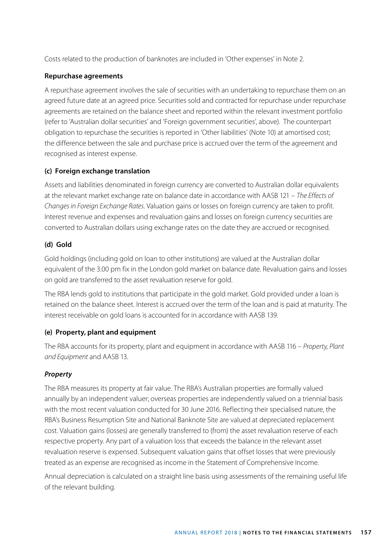Costs related to the production of banknotes are included in 'Other expenses' in Note 2.

### **Repurchase agreements**

A repurchase agreement involves the sale of securities with an undertaking to repurchase them on an agreed future date at an agreed price. Securities sold and contracted for repurchase under repurchase agreements are retained on the balance sheet and reported within the relevant investment portfolio (refer to 'Australian dollar securities' and 'Foreign government securities', above). The counterpart obligation to repurchase the securities is reported in 'Other liabilities' (Note 10) at amortised cost; the difference between the sale and purchase price is accrued over the term of the agreement and recognised as interest expense.

### **(c) Foreign exchange translation**

Assets and liabilities denominated in foreign currency are converted to Australian dollar equivalents at the relevant market exchange rate on balance date in accordance with AASB 121 – *The Effects of Changes in Foreign Exchange Rates*. Valuation gains or losses on foreign currency are taken to profit. Interest revenue and expenses and revaluation gains and losses on foreign currency securities are converted to Australian dollars using exchange rates on the date they are accrued or recognised.

### **(d) Gold**

Gold holdings (including gold on loan to other institutions) are valued at the Australian dollar equivalent of the 3.00 pm fix in the London gold market on balance date. Revaluation gains and losses on gold are transferred to the asset revaluation reserve for gold.

The RBA lends gold to institutions that participate in the gold market. Gold provided under a loan is retained on the balance sheet. Interest is accrued over the term of the loan and is paid at maturity. The interest receivable on gold loans is accounted for in accordance with AASB 139.

### **(e) Property, plant and equipment**

The RBA accounts for its property, plant and equipment in accordance with AASB 116 – *Property, Plant and Equipment* and AASB 13.

### *Property*

The RBA measures its property at fair value. The RBA's Australian properties are formally valued annually by an independent valuer; overseas properties are independently valued on a triennial basis with the most recent valuation conducted for 30 June 2016. Reflecting their specialised nature, the RBA's Business Resumption Site and National Banknote Site are valued at depreciated replacement cost. Valuation gains (losses) are generally transferred to (from) the asset revaluation reserve of each respective property. Any part of a valuation loss that exceeds the balance in the relevant asset revaluation reserve is expensed. Subsequent valuation gains that offset losses that were previously treated as an expense are recognised as income in the Statement of Comprehensive Income.

Annual depreciation is calculated on a straight line basis using assessments of the remaining useful life of the relevant building.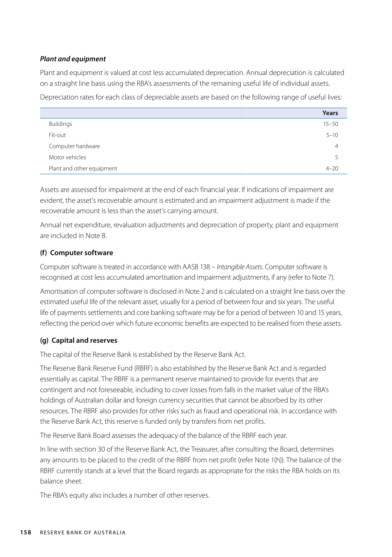### *Plant and equipment*

Plant and equipment is valued at cost less accumulated depreciation. Annual depreciation is calculated on a straight line basis using the RBA's assessments of the remaining useful life of individual assets.

Depreciation rates for each class of depreciable assets are based on the following range of useful lives:

|                           | Years          |
|---------------------------|----------------|
| <b>Buildings</b>          | $15 - 50$      |
| Fit-out                   | $5 - 10$       |
| Computer hardware         | $\overline{4}$ |
| Motor vehicles            | 5              |
| Plant and other equipment | $4 - 20$       |

Assets are assessed for impairment at the end of each financial year. If indications of impairment are evident, the asset's recoverable amount is estimated and an impairment adjustment is made if the recoverable amount is less than the asset's carrying amount.

Annual net expenditure, revaluation adjustments and depreciation of property, plant and equipment are included in Note 8.

### **(f) Computer software**

Computer software is treated in accordance with AASB 138 – *Intangible Assets*. Computer software is recognised at cost less accumulated amortisation and impairment adjustments, if any (refer to Note 7).

Amortisation of computer software is disclosed in Note 2 and is calculated on a straight line basis over the estimated useful life of the relevant asset, usually for a period of between four and six years. The useful life of payments settlements and core banking software may be for a period of between 10 and 15 years, reflecting the period over which future economic benefits are expected to be realised from these assets.

### **(g) Capital and reserves**

The capital of the Reserve Bank is established by the Reserve Bank Act.

The Reserve Bank Reserve Fund (RBRF) is also established by the Reserve Bank Act and is regarded essentially as capital. The RBRF is a permanent reserve maintained to provide for events that are contingent and not foreseeable, including to cover losses from falls in the market value of the RBA's holdings of Australian dollar and foreign currency securities that cannot be absorbed by its other resources. The RBRF also provides for other risks such as fraud and operational risk. In accordance with the Reserve Bank Act, this reserve is funded only by transfers from net profits.

The Reserve Bank Board assesses the adequacy of the balance of the RBRF each year.

In line with section 30 of the Reserve Bank Act, the Treasurer, after consulting the Board, determines any amounts to be placed to the credit of the RBRF from net profit (refer Note 1(h)). The balance of the RBRF currently stands at a level that the Board regards as appropriate for the risks the RBA holds on its balance sheet.

The RBA's equity also includes a number of other reserves.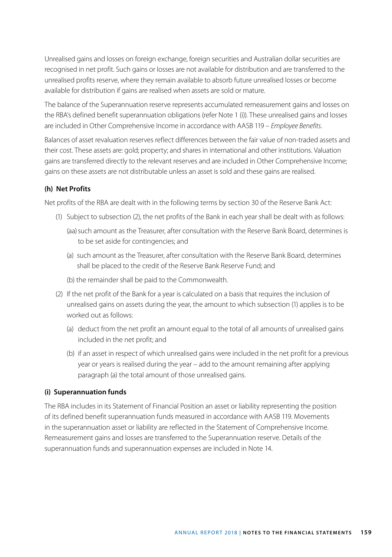Unrealised gains and losses on foreign exchange, foreign securities and Australian dollar securities are recognised in net profit. Such gains or losses are not available for distribution and are transferred to the unrealised profits reserve, where they remain available to absorb future unrealised losses or become available for distribution if gains are realised when assets are sold or mature.

The balance of the Superannuation reserve represents accumulated remeasurement gains and losses on the RBA's defined benefit superannuation obligations (refer Note 1 (i)). These unrealised gains and losses are included in Other Comprehensive Income in accordance with AASB 119 – *Employee Benefits*.

Balances of asset revaluation reserves reflect differences between the fair value of non-traded assets and their cost. These assets are: gold; property; and shares in international and other institutions. Valuation gains are transferred directly to the relevant reserves and are included in Other Comprehensive Income; gains on these assets are not distributable unless an asset is sold and these gains are realised.

### **(h) Net Profits**

Net profits of the RBA are dealt with in the following terms by section 30 of the Reserve Bank Act:

- (1) Subject to subsection (2), the net profits of the Bank in each year shall be dealt with as follows:
	- (aa) such amount as the Treasurer, after consultation with the Reserve Bank Board, determines is to be set aside for contingencies; and
	- (a) such amount as the Treasurer, after consultation with the Reserve Bank Board, determines shall be placed to the credit of the Reserve Bank Reserve Fund; and
	- (b) the remainder shall be paid to the Commonwealth.
- (2) If the net profit of the Bank for a year is calculated on a basis that requires the inclusion of unrealised gains on assets during the year, the amount to which subsection (1) applies is to be worked out as follows:
	- (a) deduct from the net profit an amount equal to the total of all amounts of unrealised gains included in the net profit; and
	- (b) if an asset in respect of which unrealised gains were included in the net profit for a previous year or years is realised during the year – add to the amount remaining after applying paragraph (a) the total amount of those unrealised gains.

### **(i) Superannuation funds**

The RBA includes in its Statement of Financial Position an asset or liability representing the position of its defined benefit superannuation funds measured in accordance with AASB 119. Movements in the superannuation asset or liability are reflected in the Statement of Comprehensive Income. Remeasurement gains and losses are transferred to the Superannuation reserve. Details of the superannuation funds and superannuation expenses are included in Note 14.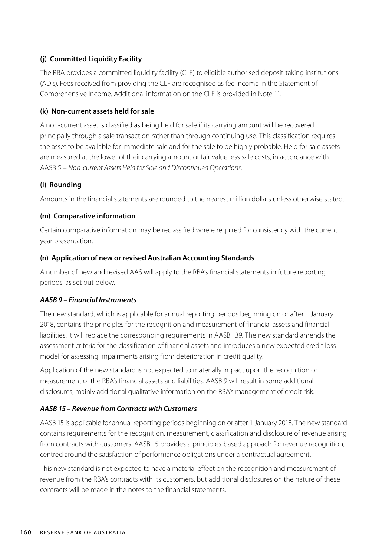### **(j) Committed Liquidity Facility**

The RBA provides a committed liquidity facility (CLF) to eligible authorised deposit-taking institutions (ADIs). Fees received from providing the CLF are recognised as fee income in the Statement of Comprehensive Income. Additional information on the CLF is provided in Note 11.

### **(k) Non-current assets held for sale**

A non-current asset is classified as being held for sale if its carrying amount will be recovered principally through a sale transaction rather than through continuing use. This classification requires the asset to be available for immediate sale and for the sale to be highly probable. Held for sale assets are measured at the lower of their carrying amount or fair value less sale costs, in accordance with AASB 5 – *Non-current Assets Held for Sale and Discontinued Operations*.

### **(l) Rounding**

Amounts in the financial statements are rounded to the nearest million dollars unless otherwise stated.

### **(m) Comparative information**

Certain comparative information may be reclassified where required for consistency with the current year presentation.

### **(n) Application of new or revised Australian Accounting Standards**

A number of new and revised AAS will apply to the RBA's financial statements in future reporting periods, as set out below.

### *AASB 9 – Financial Instruments*

The new standard, which is applicable for annual reporting periods beginning on or after 1 January 2018, contains the principles for the recognition and measurement of financial assets and financial liabilities. It will replace the corresponding requirements in AASB 139. The new standard amends the assessment criteria for the classification of financial assets and introduces a new expected credit loss model for assessing impairments arising from deterioration in credit quality.

Application of the new standard is not expected to materially impact upon the recognition or measurement of the RBA's financial assets and liabilities. AASB 9 will result in some additional disclosures, mainly additional qualitative information on the RBA's management of credit risk.

### *AASB 15 – Revenue from Contracts with Customers*

AASB 15 is applicable for annual reporting periods beginning on or after 1 January 2018. The new standard contains requirements for the recognition, measurement, classification and disclosure of revenue arising from contracts with customers. AASB 15 provides a principles-based approach for revenue recognition, centred around the satisfaction of performance obligations under a contractual agreement.

This new standard is not expected to have a material effect on the recognition and measurement of revenue from the RBA's contracts with its customers, but additional disclosures on the nature of these contracts will be made in the notes to the financial statements.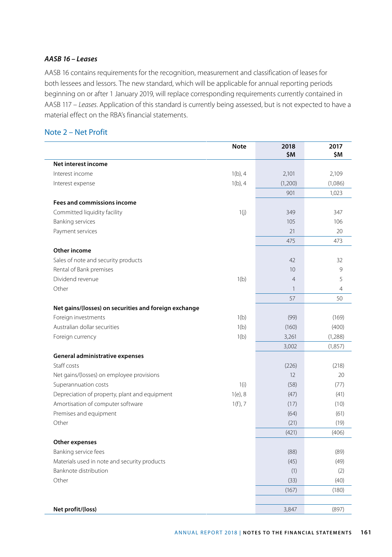### *AASB 16 – Leases*

AASB 16 contains requirements for the recognition, measurement and classification of leases for both lessees and lessors. The new standard, which will be applicable for annual reporting periods beginning on or after 1 January 2019, will replace corresponding requirements currently contained in AASB 117 – *Leases*. Application of this standard is currently being assessed, but is not expected to have a material effect on the RBA's financial statements.

### Note 2 – Net Profit

|                                                       | <b>Note</b> | 2018<br>\$M    | 2017<br>\$M |
|-------------------------------------------------------|-------------|----------------|-------------|
| Net interest income                                   |             |                |             |
| Interest income                                       | $1(b)$ , 4  | 2,101          | 2,109       |
| Interest expense                                      | $1(b)$ , 4  | (1,200)        | (1,086)     |
|                                                       |             | 901            | 1,023       |
| <b>Fees and commissions income</b>                    |             |                |             |
| Committed liquidity facility                          | 1(i)        | 349            | 347         |
| <b>Banking services</b>                               |             | 105            | 106         |
| Payment services                                      |             | 21             | 20          |
|                                                       |             | 475            | 473         |
| Other income                                          |             |                |             |
| Sales of note and security products                   |             | 42             | 32          |
| Rental of Bank premises                               |             | 10             | 9           |
| Dividend revenue                                      | 1(b)        | $\overline{4}$ | 5           |
| Other                                                 |             | $\mathbf{1}$   | 4           |
|                                                       |             | 57             | 50          |
| Net gains/(losses) on securities and foreign exchange |             |                |             |
| Foreign investments                                   | 1(b)        | (99)           | (169)       |
| Australian dollar securities                          | 1(b)        | (160)          | (400)       |
| Foreign currency                                      | 1(b)        | 3,261          | (1,288)     |
|                                                       |             | 3,002          | (1,857)     |
| General administrative expenses                       |             |                |             |
| Staff costs                                           |             | (226)          | (218)       |
| Net gains/(losses) on employee provisions             |             | 12             | 20          |
| Superannuation costs                                  | 1(i)        | (58)           | (77)        |
| Depreciation of property, plant and equipment         | $1(e)$ , 8  | (47)           | (41)        |
| Amortisation of computer software                     | 1(f), 7     | (17)           | (10)        |
| Premises and equipment                                |             | (64)           | (61)        |
| Other                                                 |             | (21)           | (19)        |
|                                                       |             | (421)          | (406)       |
| Other expenses                                        |             |                |             |
| Banking service fees                                  |             | (88)           | (89)        |
| Materials used in note and security products          |             | (45)           | (49)        |
| Banknote distribution                                 |             | (1)            | (2)         |
| Other                                                 |             | (33)           | (40)        |
|                                                       |             | (167)          | (180)       |
| Net profit/(loss)                                     |             | 3,847          | (897)       |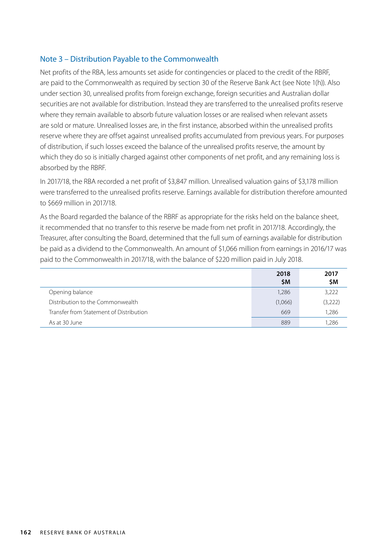### Note 3 – Distribution Payable to the Commonwealth

Net profits of the RBA, less amounts set aside for contingencies or placed to the credit of the RBRF, are paid to the Commonwealth as required by section 30 of the Reserve Bank Act (see Note 1(h)). Also under section 30, unrealised profits from foreign exchange, foreign securities and Australian dollar securities are not available for distribution. Instead they are transferred to the unrealised profits reserve where they remain available to absorb future valuation losses or are realised when relevant assets are sold or mature. Unrealised losses are, in the first instance, absorbed within the unrealised profits reserve where they are offset against unrealised profits accumulated from previous years. For purposes of distribution, if such losses exceed the balance of the unrealised profits reserve, the amount by which they do so is initially charged against other components of net profit, and any remaining loss is absorbed by the RBRF.

In 2017/18, the RBA recorded a net profit of \$3,847 million. Unrealised valuation gains of \$3,178 million were transferred to the unrealised profits reserve. Earnings available for distribution therefore amounted to \$669 million in 2017/18.

As the Board regarded the balance of the RBRF as appropriate for the risks held on the balance sheet, it recommended that no transfer to this reserve be made from net profit in 2017/18. Accordingly, the Treasurer, after consulting the Board, determined that the full sum of earnings available for distribution be paid as a dividend to the Commonwealth. An amount of \$1,066 million from earnings in 2016/17 was paid to the Commonwealth in 2017/18, with the balance of \$220 million paid in July 2018.

|                                         | 2018<br><b>SM</b> | 2017<br>\$M |
|-----------------------------------------|-------------------|-------------|
| Opening balance                         | 1,286             | 3,222       |
| Distribution to the Commonwealth        | (1,066)           | (3,222)     |
| Transfer from Statement of Distribution | 669               | 1,286       |
| As at 30 June                           | 889               | 1.286       |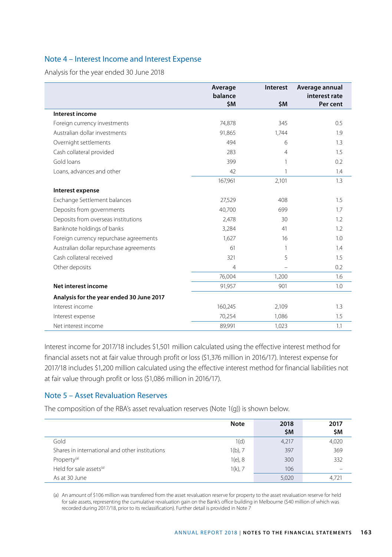### Note 4 – Interest Income and Interest Expense

Analysis for the year ended 30 June 2018

|                                          | Average<br>balance | Interest | Average annual<br>interest rate |
|------------------------------------------|--------------------|----------|---------------------------------|
|                                          | \$M                | \$M      | Per cent                        |
| <b>Interest income</b>                   |                    |          |                                 |
| Foreign currency investments             | 74,878             | 345      | 0.5                             |
| Australian dollar investments            | 91,865             | 1,744    | 1.9                             |
| Overnight settlements                    | 494                | 6        | 1.3                             |
| Cash collateral provided                 | 283                | 4        | 1.5                             |
| Gold loans                               | 399                | 1        | 0.2                             |
| Loans, advances and other                | 42                 | 1        | 1.4                             |
|                                          | 167,961            | 2,101    | 1.3                             |
| Interest expense                         |                    |          |                                 |
| Exchange Settlement balances             | 27,529             | 408      | 1.5                             |
| Deposits from governments                | 40,700             | 699      | 1.7                             |
| Deposits from overseas institutions      | 2,478              | 30       | 1.2                             |
| Banknote holdings of banks               | 3,284              | 41       | 1.2                             |
| Foreign currency repurchase agreements   | 1,627              | 16       | 1.0                             |
| Australian dollar repurchase agreements  | 61                 | 1        | 1.4                             |
| Cash collateral received                 | 321                | 5        | 1.5                             |
| Other deposits                           | $\overline{4}$     |          | 0.2                             |
|                                          | 76,004             | 1,200    | 1.6                             |
| Net interest income                      | 91,957             | 901      | 1.0                             |
| Analysis for the year ended 30 June 2017 |                    |          |                                 |
| Interest income                          | 160,245            | 2,109    | 1.3                             |
| Interest expense                         | 70,254             | 1,086    | 1.5                             |
| Net interest income                      | 89,991             | 1,023    | 1.1                             |

Interest income for 2017/18 includes \$1,501 million calculated using the effective interest method for financial assets not at fair value through profit or loss (\$1,376 million in 2016/17). Interest expense for 2017/18 includes \$1,200 million calculated using the effective interest method for financial liabilities not at fair value through profit or loss (\$1,086 million in 2016/17).

### Note 5 – Asset Revaluation Reserves

The composition of the RBA's asset revaluation reserves (Note 1(g)) is shown below.

|                                                | <b>Note</b> | 2018<br>\$M | 2017<br>\$M |
|------------------------------------------------|-------------|-------------|-------------|
| Gold                                           | 1(d)        | 4,217       | 4,020       |
| Shares in international and other institutions | $1(b)$ , 7  | 397         | 369         |
| Property <sup>(a)</sup>                        | $1(e)$ , 8  | 300         | 332         |
| Held for sale assets <sup>(a)</sup>            | $1(k)$ , 7  | 106         |             |
| As at 30 June                                  |             | 5,020       | 4.721       |

(a) An amount of \$106 million was transferred from the asset revaluation reserve for property to the asset revaluation reserve for held for sale assets, representing the cumulative revaluation gain on the Bank's office building in Melbourne (\$40 million of which was recorded during 2017/18, prior to its reclassification). Further detail is provided in Note 7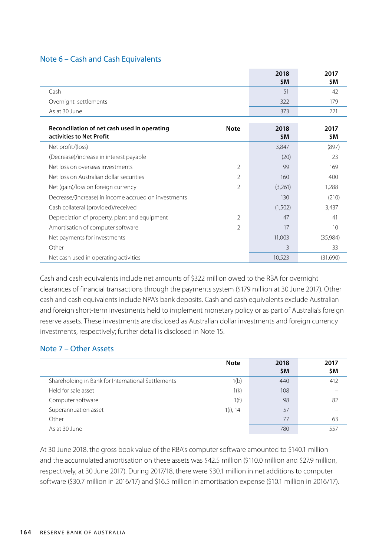### Note 6 – Cash and Cash Equivalents

|                                                                                         | 2018<br>\$M | 2017<br>\$M |
|-----------------------------------------------------------------------------------------|-------------|-------------|
| Cash                                                                                    | 51          | 42          |
| Overnight settlements                                                                   | 322         | 179         |
| As at 30 June                                                                           | 373         | 221         |
|                                                                                         |             |             |
| Reconciliation of net cash used in operating<br><b>Note</b><br>activities to Net Profit | 2018<br>\$M | 2017<br>\$M |
| Net profit/(loss)                                                                       | 3,847       | (897)       |
| (Decrease)/increase in interest payable                                                 | (20)        | 23          |

| Net loss on Australian dollar securities             |   | 160     | 400      |
|------------------------------------------------------|---|---------|----------|
| Net (gain)/loss on foreign currency                  | 2 | (3,261) | 1.288    |
| Decrease/(increase) in income accrued on investments |   | 130     | (210)    |
| Cash collateral (provided)/received                  |   | (1,502) | 3,437    |
| Depreciation of property, plant and equipment        | 2 | 47      | 41       |
| Amortisation of computer software                    | 2 | 17      | 10       |
| Net payments for investments                         |   | 11.003  | (35,984) |
| Other                                                |   | 3       | 33       |
| Net cash used in operating activities                |   | 10.523  | (31,690) |

Net loss on overseas investments and the control of the control of the control of the control of the control of the control of the control of the control of the control of the control of the control of the control of the c

Cash and cash equivalents include net amounts of \$322 million owed to the RBA for overnight clearances of financial transactions through the payments system (\$179 million at 30 June 2017). Other cash and cash equivalents include NPA's bank deposits. Cash and cash equivalents exclude Australian and foreign short-term investments held to implement monetary policy or as part of Australia's foreign reserve assets. These investments are disclosed as Australian dollar investments and foreign currency investments, respectively; further detail is disclosed in Note 15.

### Note 7 – Other Assets

|                                                    | <b>Note</b> | 2018<br>\$M | 2017<br>\$M |
|----------------------------------------------------|-------------|-------------|-------------|
| Shareholding in Bank for International Settlements | 1(b)        | 440         | 412         |
| Held for sale asset                                | 1(k)        | 108         |             |
| Computer software                                  | 1(f)        | 98          | 82          |
| Superannuation asset                               | $1(i)$ , 14 | 57          |             |
| Other                                              |             | 77          | 63          |
| As at 30 June                                      |             | 780         | 55.         |

At 30 June 2018, the gross book value of the RBA's computer software amounted to \$140.1 million and the accumulated amortisation on these assets was \$42.5 million (\$110.0 million and \$27.9 million, respectively, at 30 June 2017). During 2017/18, there were \$30.1 million in net additions to computer software (\$30.7 million in 2016/17) and \$16.5 million in amortisation expense (\$10.1 million in 2016/17).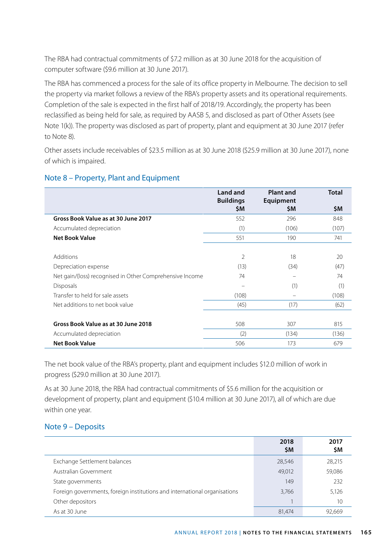The RBA had contractual commitments of \$7.2 million as at 30 June 2018 for the acquisition of computer software (\$9.6 million at 30 June 2017).

The RBA has commenced a process for the sale of its office property in Melbourne. The decision to sell the property via market follows a review of the RBA's property assets and its operational requirements. Completion of the sale is expected in the first half of 2018/19. Accordingly, the property has been reclassified as being held for sale, as required by AASB 5, and disclosed as part of Other Assets (see Note 1(k)). The property was disclosed as part of property, plant and equipment at 30 June 2017 (refer to Note 8).

Other assets include receivables of \$23.5 million as at 30 June 2018 (\$25.9 million at 30 June 2017), none of which is impaired.

|                                                          | <b>Land and</b><br><b>Buildings</b> | <b>Plant and</b><br>Equipment | <b>Total</b> |
|----------------------------------------------------------|-------------------------------------|-------------------------------|--------------|
|                                                          | \$M                                 | \$M                           | \$M          |
| Gross Book Value as at 30 June 2017                      | 552                                 | 296                           | 848          |
| Accumulated depreciation                                 | (1)                                 | (106)                         | (107)        |
| <b>Net Book Value</b>                                    | 551                                 | 190                           | 741          |
|                                                          |                                     |                               |              |
| <b>Additions</b>                                         | 2                                   | 18                            | 20           |
| Depreciation expense                                     | (13)                                | (34)                          | (47)         |
| Net gain/(loss) recognised in Other Comprehensive Income | 74                                  | $\equiv$                      | 74           |
| <b>Disposals</b>                                         | -                                   | (1)                           | (1)          |
| Transfer to held for sale assets                         | (108)                               |                               | (108)        |
| Net additions to net book value                          | (45)                                | (17)                          | (62)         |
|                                                          |                                     |                               |              |
| Gross Book Value as at 30 June 2018                      | 508                                 | 307                           | 815          |
| Accumulated depreciation                                 | (2)                                 | (134)                         | (136)        |
| <b>Net Book Value</b>                                    | 506                                 | 173                           | 679          |

## Note 8 – Property, Plant and Equipment

The net book value of the RBA's property, plant and equipment includes \$12.0 million of work in progress (\$29.0 million at 30 June 2017).

As at 30 June 2018, the RBA had contractual commitments of \$5.6 million for the acquisition or development of property, plant and equipment (\$10.4 million at 30 June 2017), all of which are due within one year.

## Note 9 – Deposits

|                                                                           | 2018<br>\$M | 2017<br>\$M |
|---------------------------------------------------------------------------|-------------|-------------|
| Exchange Settlement balances                                              | 28,546      | 28,215      |
| Australian Government                                                     | 49.012      | 59,086      |
| State governments                                                         | 149         | 232         |
| Foreign governments, foreign institutions and international organisations | 3,766       | 5.126       |
| Other depositors                                                          |             | 10          |
| As at 30 June                                                             | 81.474      | 92.669      |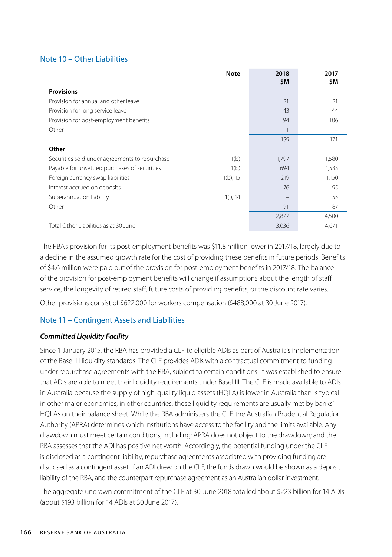### Note 10 – Other Liabilities

|                                                | <b>Note</b> | 2018<br>\$Μ | 2017<br>\$M |
|------------------------------------------------|-------------|-------------|-------------|
| <b>Provisions</b>                              |             |             |             |
| Provision for annual and other leave           |             | 21          | 21          |
| Provision for long service leave               |             | 43          | 44          |
| Provision for post-employment benefits         |             | 94          | 106         |
| Other                                          |             |             |             |
|                                                |             | 159         | 171         |
| Other                                          |             |             |             |
| Securities sold under agreements to repurchase | 1(b)        | 1,797       | 1,580       |
| Payable for unsettled purchases of securities  | 1(b)        | 694         | 1,533       |
| Foreign currency swap liabilities              | $1(b)$ , 15 | 219         | 1,150       |
| Interest accrued on deposits                   |             | 76          | 95          |
| Superannuation liability                       | $1(i)$ , 14 |             | 55          |
| Other                                          |             | 91          | 87          |
|                                                |             | 2,877       | 4,500       |
| Total Other Liabilities as at 30 June          |             | 3,036       | 4,671       |

The RBA's provision for its post-employment benefits was \$11.8 million lower in 2017/18, largely due to a decline in the assumed growth rate for the cost of providing these benefits in future periods. Benefits of \$4.6 million were paid out of the provision for post-employment benefits in 2017/18. The balance of the provision for post-employment benefits will change if assumptions about the length of staff service, the longevity of retired staff, future costs of providing benefits, or the discount rate varies.

Other provisions consist of \$622,000 for workers compensation (\$488,000 at 30 June 2017).

## Note 11 – Contingent Assets and Liabilities

### *Committed Liquidity Facility*

Since 1 January 2015, the RBA has provided a CLF to eligible ADIs as part of Australia's implementation of the Basel III liquidity standards. The CLF provides ADIs with a contractual commitment to funding under repurchase agreements with the RBA, subject to certain conditions. It was established to ensure that ADIs are able to meet their liquidity requirements under Basel III. The CLF is made available to ADIs in Australia because the supply of high-quality liquid assets (HQLA) is lower in Australia than is typical in other major economies; in other countries, these liquidity requirements are usually met by banks' HQLAs on their balance sheet. While the RBA administers the CLF, the Australian Prudential Regulation Authority (APRA) determines which institutions have access to the facility and the limits available. Any drawdown must meet certain conditions, including: APRA does not object to the drawdown; and the RBA assesses that the ADI has positive net worth. Accordingly, the potential funding under the CLF is disclosed as a contingent liability; repurchase agreements associated with providing funding are disclosed as a contingent asset. If an ADI drew on the CLF, the funds drawn would be shown as a deposit liability of the RBA, and the counterpart repurchase agreement as an Australian dollar investment.

The aggregate undrawn commitment of the CLF at 30 June 2018 totalled about \$223 billion for 14 ADIs (about \$193 billion for 14 ADIs at 30 June 2017).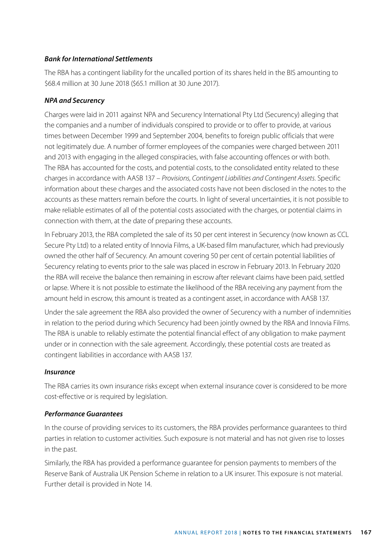### *Bank for International Settlements*

The RBA has a contingent liability for the uncalled portion of its shares held in the BIS amounting to \$68.4 million at 30 June 2018 (\$65.1 million at 30 June 2017).

### *NPA and Securency*

Charges were laid in 2011 against NPA and Securency International Pty Ltd (Securency) alleging that the companies and a number of individuals conspired to provide or to offer to provide, at various times between December 1999 and September 2004, benefits to foreign public officials that were not legitimately due. A number of former employees of the companies were charged between 2011 and 2013 with engaging in the alleged conspiracies, with false accounting offences or with both. The RBA has accounted for the costs, and potential costs, to the consolidated entity related to these charges in accordance with AASB 137 – *Provisions, Contingent Liabilities and Contingent Assets*. Specific information about these charges and the associated costs have not been disclosed in the notes to the accounts as these matters remain before the courts. In light of several uncertainties, it is not possible to make reliable estimates of all of the potential costs associated with the charges, or potential claims in connection with them, at the date of preparing these accounts.

In February 2013, the RBA completed the sale of its 50 per cent interest in Securency (now known as CCL Secure Pty Ltd) to a related entity of Innovia Films, a UK-based film manufacturer, which had previously owned the other half of Securency. An amount covering 50 per cent of certain potential liabilities of Securency relating to events prior to the sale was placed in escrow in February 2013. In February 2020 the RBA will receive the balance then remaining in escrow after relevant claims have been paid, settled or lapse. Where it is not possible to estimate the likelihood of the RBA receiving any payment from the amount held in escrow, this amount is treated as a contingent asset, in accordance with AASB 137.

Under the sale agreement the RBA also provided the owner of Securency with a number of indemnities in relation to the period during which Securency had been jointly owned by the RBA and Innovia Films. The RBA is unable to reliably estimate the potential financial effect of any obligation to make payment under or in connection with the sale agreement. Accordingly, these potential costs are treated as contingent liabilities in accordance with AASB 137.

### *Insurance*

The RBA carries its own insurance risks except when external insurance cover is considered to be more cost-effective or is required by legislation.

### *Performance Guarantees*

In the course of providing services to its customers, the RBA provides performance guarantees to third parties in relation to customer activities. Such exposure is not material and has not given rise to losses in the past.

Similarly, the RBA has provided a performance guarantee for pension payments to members of the Reserve Bank of Australia UK Pension Scheme in relation to a UK insurer. This exposure is not material. Further detail is provided in Note 14.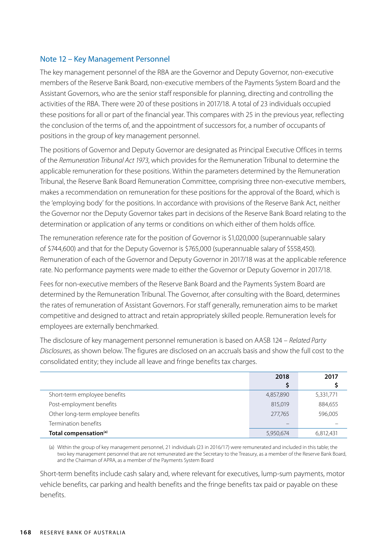### Note 12 – Key Management Personnel

The key management personnel of the RBA are the Governor and Deputy Governor, non-executive members of the Reserve Bank Board, non-executive members of the Payments System Board and the Assistant Governors, who are the senior staff responsible for planning, directing and controlling the activities of the RBA. There were 20 of these positions in 2017/18. A total of 23 individuals occupied these positions for all or part of the financial year. This compares with 25 in the previous year, reflecting the conclusion of the terms of, and the appointment of successors for, a number of occupants of positions in the group of key management personnel.

The positions of Governor and Deputy Governor are designated as Principal Executive Offices in terms of the *Remuneration Tribunal Act 1973*, which provides for the Remuneration Tribunal to determine the applicable remuneration for these positions. Within the parameters determined by the Remuneration Tribunal, the Reserve Bank Board Remuneration Committee, comprising three non-executive members, makes a recommendation on remuneration for these positions for the approval of the Board, which is the 'employing body' for the positions. In accordance with provisions of the Reserve Bank Act, neither the Governor nor the Deputy Governor takes part in decisions of the Reserve Bank Board relating to the determination or application of any terms or conditions on which either of them holds office.

The remuneration reference rate for the position of Governor is \$1,020,000 (superannuable salary of \$744,600) and that for the Deputy Governor is \$765,000 (superannuable salary of \$558,450). Remuneration of each of the Governor and Deputy Governor in 2017/18 was at the applicable reference rate. No performance payments were made to either the Governor or Deputy Governor in 2017/18.

Fees for non-executive members of the Reserve Bank Board and the Payments System Board are determined by the Remuneration Tribunal. The Governor, after consulting with the Board, determines the rates of remuneration of Assistant Governors. For staff generally, remuneration aims to be market competitive and designed to attract and retain appropriately skilled people. Remuneration levels for employees are externally benchmarked.

The disclosure of key management personnel remuneration is based on AASB 124 – *Related Party Disclosures*, as shown below. The figures are disclosed on an accruals basis and show the full cost to the consolidated entity; they include all leave and fringe benefits tax charges.

|                                   | 2018      | 2017      |
|-----------------------------------|-----------|-----------|
|                                   |           |           |
| Short-term employee benefits      | 4,857,890 | 5,331,771 |
| Post-employment benefits          | 815,019   | 884,655   |
| Other long-term employee benefits | 277,765   | 596,005   |
| Termination benefits              |           |           |
| Total compensation <sup>(a)</sup> | 5,950,674 | 6,812,431 |

(a) Within the group of key management personnel, 21 individuals (23 in 2016/17) were remunerated and included in this table; the two key management personnel that are not remunerated are the Secretary to the Treasury, as a member of the Reserve Bank Board, and the Chairman of APRA, as a member of the Payments System Board

Short-term benefits include cash salary and, where relevant for executives, lump-sum payments, motor vehicle benefits, car parking and health benefits and the fringe benefits tax paid or payable on these benefits.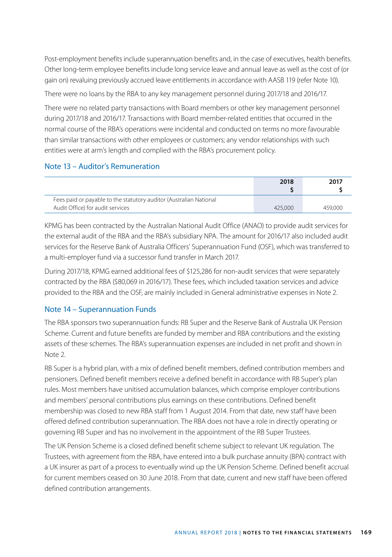Post-employment benefits include superannuation benefits and, in the case of executives, health benefits. Other long-term employee benefits include long service leave and annual leave as well as the cost of (or gain on) revaluing previously accrued leave entitlements in accordance with AASB 119 (refer Note 10).

There were no loans by the RBA to any key management personnel during 2017/18 and 2016/17.

There were no related party transactions with Board members or other key management personnel during 2017/18 and 2016/17. Transactions with Board member-related entities that occurred in the normal course of the RBA's operations were incidental and conducted on terms no more favourable than similar transactions with other employees or customers; any vendor relationships with such entities were at arm's length and complied with the RBA's procurement policy.

### Note 13 – Auditor's Remuneration

|                                                                                                        | 2018    | 2017    |
|--------------------------------------------------------------------------------------------------------|---------|---------|
| Fees paid or payable to the statutory auditor (Australian National<br>Audit Office) for audit services | 425,000 | 459,000 |

KPMG has been contracted by the Australian National Audit Office (ANAO) to provide audit services for the external audit of the RBA and the RBA's subsidiary NPA. The amount for 2016/17 also included audit services for the Reserve Bank of Australia Officers' Superannuation Fund (OSF), which was transferred to a multi-employer fund via a successor fund transfer in March 2017.

During 2017/18, KPMG earned additional fees of \$125,286 for non-audit services that were separately contracted by the RBA (\$80,069 in 2016/17). These fees, which included taxation services and advice provided to the RBA and the OSF, are mainly included in General administrative expenses in Note 2.

## Note 14 – Superannuation Funds

The RBA sponsors two superannuation funds: RB Super and the Reserve Bank of Australia UK Pension Scheme. Current and future benefits are funded by member and RBA contributions and the existing assets of these schemes. The RBA's superannuation expenses are included in net profit and shown in Note 2.

RB Super is a hybrid plan, with a mix of defined benefit members, defined contribution members and pensioners. Defined benefit members receive a defined benefit in accordance with RB Super's plan rules. Most members have unitised accumulation balances, which comprise employer contributions and members' personal contributions plus earnings on these contributions. Defined benefit membership was closed to new RBA staff from 1 August 2014. From that date, new staff have been offered defined contribution superannuation. The RBA does not have a role in directly operating or governing RB Super and has no involvement in the appointment of the RB Super Trustees.

The UK Pension Scheme is a closed defined benefit scheme subject to relevant UK regulation. The Trustees, with agreement from the RBA, have entered into a bulk purchase annuity (BPA) contract with a UK insurer as part of a process to eventually wind up the UK Pension Scheme. Defined benefit accrual for current members ceased on 30 June 2018. From that date, current and new staff have been offered defined contribution arrangements.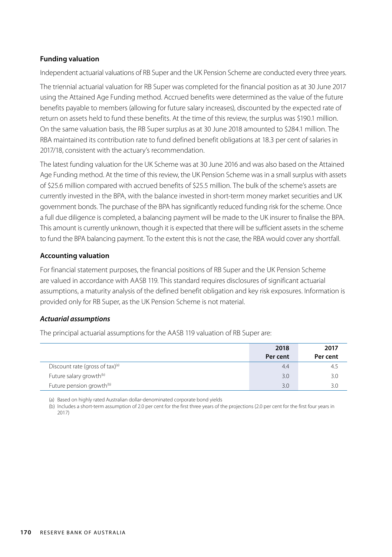### **Funding valuation**

Independent actuarial valuations of RB Super and the UK Pension Scheme are conducted every three years.

The triennial actuarial valuation for RB Super was completed for the financial position as at 30 June 2017 using the Attained Age Funding method. Accrued benefits were determined as the value of the future benefits payable to members (allowing for future salary increases), discounted by the expected rate of return on assets held to fund these benefits. At the time of this review, the surplus was \$190.1 million. On the same valuation basis, the RB Super surplus as at 30 June 2018 amounted to \$284.1 million. The RBA maintained its contribution rate to fund defined benefit obligations at 18.3 per cent of salaries in 2017/18, consistent with the actuary's recommendation.

The latest funding valuation for the UK Scheme was at 30 June 2016 and was also based on the Attained Age Funding method. At the time of this review, the UK Pension Scheme was in a small surplus with assets of \$25.6 million compared with accrued benefits of \$25.5 million. The bulk of the scheme's assets are currently invested in the BPA, with the balance invested in short-term money market securities and UK government bonds. The purchase of the BPA has significantly reduced funding risk for the scheme. Once a full due diligence is completed, a balancing payment will be made to the UK insurer to finalise the BPA. This amount is currently unknown, though it is expected that there will be sufficient assets in the scheme to fund the BPA balancing payment. To the extent this is not the case, the RBA would cover any shortfall.

### **Accounting valuation**

For financial statement purposes, the financial positions of RB Super and the UK Pension Scheme are valued in accordance with AASB 119. This standard requires disclosures of significant actuarial assumptions, a maturity analysis of the defined benefit obligation and key risk exposures. Information is provided only for RB Super, as the UK Pension Scheme is not material.

#### *Actuarial assumptions*

The principal actuarial assumptions for the AASB 119 valuation of RB Super are:

|                                             | 2018<br>Per cent | 2017<br>Per cent |
|---------------------------------------------|------------------|------------------|
| Discount rate (gross of tax) <sup>(a)</sup> | 4.4              | 4.5              |
| Future salary growth <sup>(b)</sup>         | 3.0              | 3.0              |
| Future pension growth <sup>(b)</sup>        | 3.0              | 3.0              |

(a) Based on highly rated Australian dollar-denominated corporate bond yields

(b) Includes a short-term assumption of 2.0 per cent for the first three years of the projections (2.0 per cent for the first four years in 2017)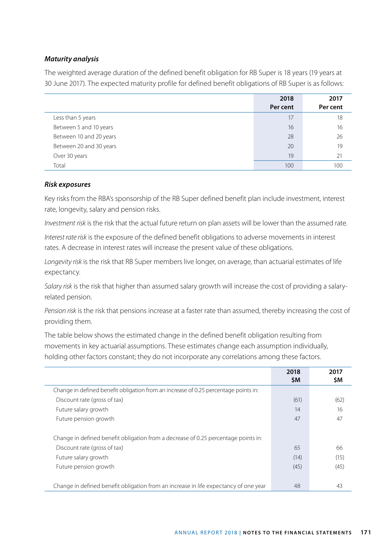### *Maturity analysis*

The weighted average duration of the defined benefit obligation for RB Super is 18 years (19 years at 30 June 2017). The expected maturity profile for defined benefit obligations of RB Super is as follows:

|                         | 2018<br>Per cent | 2017<br>Per cent |
|-------------------------|------------------|------------------|
| Less than 5 years       | 17               | 18               |
| Between 5 and 10 years  | 16               | 16               |
| Between 10 and 20 years | 28               | 26               |
| Between 20 and 30 years | 20               | 19               |
| Over 30 years           | 19               | 21               |
| Total                   | 100              | 100              |

### *Risk exposures*

Key risks from the RBA's sponsorship of the RB Super defined benefit plan include investment, interest rate, longevity, salary and pension risks.

*Investment risk* is the risk that the actual future return on plan assets will be lower than the assumed rate.

*Interest rate risk* is the exposure of the defined benefit obligations to adverse movements in interest rates. A decrease in interest rates will increase the present value of these obligations.

*Longevity risk* is the risk that RB Super members live longer, on average, than actuarial estimates of life expectancy.

*Salary risk* is the risk that higher than assumed salary growth will increase the cost of providing a salaryrelated pension.

*Pension risk* is the risk that pensions increase at a faster rate than assumed, thereby increasing the cost of providing them.

The table below shows the estimated change in the defined benefit obligation resulting from movements in key actuarial assumptions. These estimates change each assumption individually, holding other factors constant; they do not incorporate any correlations among these factors.

|                                                                                                                    | 2018<br>\$M | 2017<br><b>SM</b> |
|--------------------------------------------------------------------------------------------------------------------|-------------|-------------------|
| Change in defined benefit obligation from an increase of 0.25 percentage points in:                                |             |                   |
| Discount rate (gross of tax)                                                                                       | (61)        | (62)              |
| Future salary growth                                                                                               | 14          | 16                |
| Future pension growth                                                                                              | 47          | 47                |
| Change in defined benefit obligation from a decrease of 0.25 percentage points in:<br>Discount rate (gross of tax) | 65          | 66                |
| Future salary growth                                                                                               | (14)        | (15)              |
| Future pension growth                                                                                              | (45)        | (45)              |
| Change in defined benefit obligation from an increase in life expectancy of one year                               | 48          | 43                |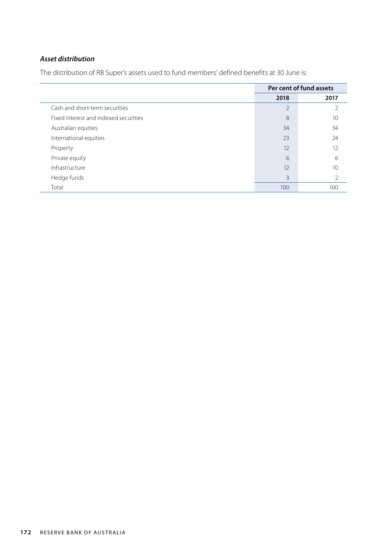## *Asset distribution*

The distribution of RB Super's assets used to fund members' defined benefits at 30 June is:

|                                       | Per cent of fund assets |      |
|---------------------------------------|-------------------------|------|
|                                       | 2018                    | 2017 |
| Cash and short-term securities        | $\overline{2}$          | 2    |
| Fixed interest and indexed securities | 8                       | 10   |
| Australian equities                   | 34                      | 34   |
| International equities                | 23                      | 24   |
| Property                              | 12                      | 12   |
| Private equity                        | 6                       | 6    |
| Infrastructure                        | 12                      | 10   |
| Hedge funds                           | 3                       | 2    |
| Total                                 | 100                     | 100  |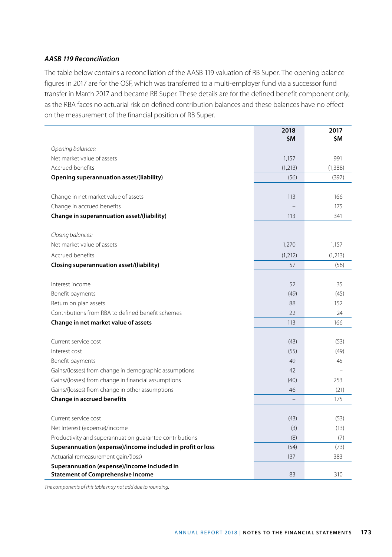### *AASB 119 Reconciliation*

The table below contains a reconciliation of the AASB 119 valuation of RB Super. The opening balance figures in 2017 are for the OSF, which was transferred to a multi-employer fund via a successor fund transfer in March 2017 and became RB Super. These details are for the defined benefit component only, as the RBA faces no actuarial risk on defined contribution balances and these balances have no effect on the measurement of the financial position of RB Super.

|                                                                                         | 2018<br>\$M | 2017<br>\$Μ |
|-----------------------------------------------------------------------------------------|-------------|-------------|
| Opening balances:                                                                       |             |             |
| Net market value of assets                                                              | 1,157       | 991         |
| Accrued benefits                                                                        | (1, 213)    | (1, 388)    |
| Opening superannuation asset/(liability)                                                | (56)        | (397)       |
| Change in net market value of assets                                                    | 113         | 166         |
| Change in accrued benefits                                                              |             | 175         |
| Change in superannuation asset/(liability)                                              | 113         | 341         |
| Closing balances:                                                                       |             |             |
| Net market value of assets                                                              | 1,270       | 1,157       |
| Accrued benefits                                                                        | (1,212)     | (1,213)     |
| Closing superannuation asset/(liability)                                                | 57          | (56)        |
| Interest income                                                                         | 52          | 35          |
| Benefit payments                                                                        | (49)        | (45)        |
| Return on plan assets                                                                   | 88          | 152         |
| Contributions from RBA to defined benefit schemes                                       | 22          | 24          |
| Change in net market value of assets                                                    | 113         | 166         |
| Current service cost                                                                    | (43)        | (53)        |
| Interest cost                                                                           | (55)        | (49)        |
| Benefit payments                                                                        | 49          | 45          |
| Gains/(losses) from change in demographic assumptions                                   | 42          |             |
| Gains/(losses) from change in financial assumptions                                     | (40)        | 253         |
| Gains/(losses) from change in other assumptions                                         | 46          | (21)        |
| <b>Change in accrued benefits</b>                                                       |             | 175         |
| Current service cost                                                                    | (43)        | (53)        |
| Net Interest (expense)/income                                                           | (3)         | (13)        |
| Productivity and superannuation guarantee contributions                                 | (8)         | (7)         |
| Superannuation (expense)/income included in profit or loss                              | (54)        | (73)        |
| Actuarial remeasurement gain/(loss)                                                     | 137         | 383         |
| Superannuation (expense)/income included in<br><b>Statement of Comprehensive Income</b> | 83          | 310         |
|                                                                                         |             |             |

*The components of this table may not add due to rounding.*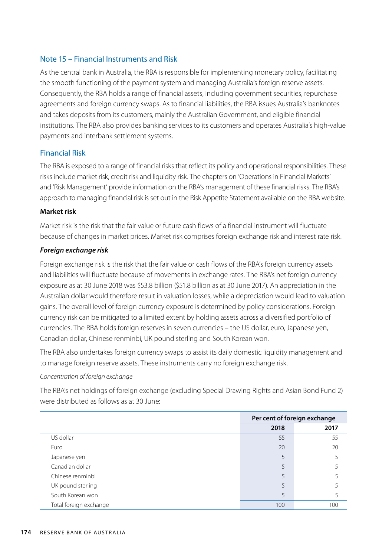### Note 15 – Financial Instruments and Risk

As the central bank in Australia, the RBA is responsible for implementing monetary policy, facilitating the smooth functioning of the payment system and managing Australia's foreign reserve assets. Consequently, the RBA holds a range of financial assets, including government securities, repurchase agreements and foreign currency swaps. As to financial liabilities, the RBA issues Australia's banknotes and takes deposits from its customers, mainly the Australian Government, and eligible financial institutions. The RBA also provides banking services to its customers and operates Australia's high-value payments and interbank settlement systems.

### Financial Risk

The RBA is exposed to a range of financial risks that reflect its policy and operational responsibilities. These risks include market risk, credit risk and liquidity risk. The chapters on 'Operations in Financial Markets' and 'Risk Management' provide information on the RBA's management of these financial risks. The RBA's approach to managing financial risk is set out in the Risk Appetite Statement available on the RBA website.

### **Market risk**

Market risk is the risk that the fair value or future cash flows of a financial instrument will fluctuate because of changes in market prices. Market risk comprises foreign exchange risk and interest rate risk.

### *Foreign exchange risk*

Foreign exchange risk is the risk that the fair value or cash flows of the RBA's foreign currency assets and liabilities will fluctuate because of movements in exchange rates. The RBA's net foreign currency exposure as at 30 June 2018 was \$53.8 billion (\$51.8 billion as at 30 June 2017). An appreciation in the Australian dollar would therefore result in valuation losses, while a depreciation would lead to valuation gains. The overall level of foreign currency exposure is determined by policy considerations. Foreign currency risk can be mitigated to a limited extent by holding assets across a diversified portfolio of currencies. The RBA holds foreign reserves in seven currencies – the US dollar, euro, Japanese yen, Canadian dollar, Chinese renminbi, UK pound sterling and South Korean won.

The RBA also undertakes foreign currency swaps to assist its daily domestic liquidity management and to manage foreign reserve assets. These instruments carry no foreign exchange risk.

### *Concentration of foreign exchange*

The RBA's net holdings of foreign exchange (excluding Special Drawing Rights and Asian Bond Fund 2) were distributed as follows as at 30 June:

|                        | Per cent of foreign exchange |      |  |
|------------------------|------------------------------|------|--|
|                        | 2018                         | 2017 |  |
| US dollar              | 55                           | 55   |  |
| Euro                   | 20                           | 20   |  |
| Japanese yen           | 5                            |      |  |
| Canadian dollar        | 5                            |      |  |
| Chinese renminbi       | 5                            |      |  |
| UK pound sterling      | 5                            |      |  |
| South Korean won       | 5                            |      |  |
| Total foreign exchange | 100                          | 100  |  |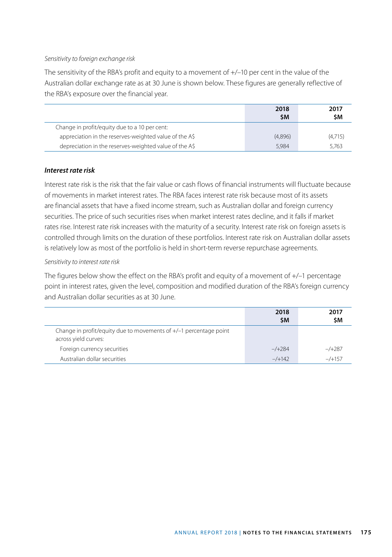#### *Sensitivity to foreign exchange risk*

The sensitivity of the RBA's profit and equity to a movement of +/–10 per cent in the value of the Australian dollar exchange rate as at 30 June is shown below. These figures are generally reflective of the RBA's exposure over the financial year.

|                                                        | 2018<br><b>SΜ</b> | 2017<br>\$Μ |
|--------------------------------------------------------|-------------------|-------------|
| Change in profit/equity due to a 10 per cent:          |                   |             |
| appreciation in the reserves-weighted value of the A\$ | (4,896)           | (4.715)     |
| depreciation in the reserves-weighted value of the A\$ | 5.984             | 5.763       |

### *Interest rate risk*

Interest rate risk is the risk that the fair value or cash flows of financial instruments will fluctuate because of movements in market interest rates. The RBA faces interest rate risk because most of its assets are financial assets that have a fixed income stream, such as Australian dollar and foreign currency securities. The price of such securities rises when market interest rates decline, and it falls if market rates rise. Interest rate risk increases with the maturity of a security. Interest rate risk on foreign assets is controlled through limits on the duration of these portfolios. Interest rate risk on Australian dollar assets is relatively low as most of the portfolio is held in short-term reverse repurchase agreements.

### *Sensitivity to interest rate risk*

The figures below show the effect on the RBA's profit and equity of a movement of +/–1 percentage point in interest rates, given the level, composition and modified duration of the RBA's foreign currency and Australian dollar securities as at 30 June.

|                                                                                             | 2018<br><b>SM</b> | 2017<br>\$Μ |
|---------------------------------------------------------------------------------------------|-------------------|-------------|
| Change in profit/equity due to movements of $+/-1$ percentage point<br>across yield curves: |                   |             |
| Foreign currency securities                                                                 | $-$ /+284         | $-$ /+287   |
| Australian dollar securities                                                                | $-/-142$          | $-$ /+157   |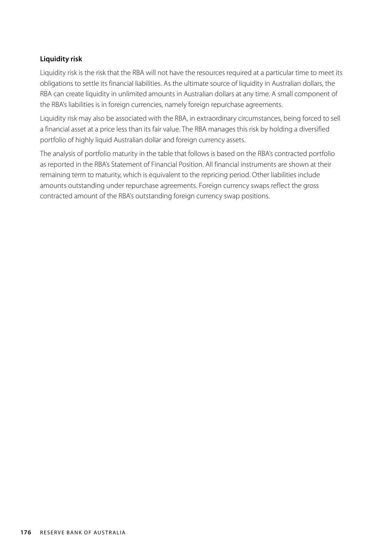### **Liquidity risk**

Liquidity risk is the risk that the RBA will not have the resources required at a particular time to meet its obligations to settle its financial liabilities. As the ultimate source of liquidity in Australian dollars, the RBA can create liquidity in unlimited amounts in Australian dollars at any time. A small component of the RBA's liabilities is in foreign currencies, namely foreign repurchase agreements.

Liquidity risk may also be associated with the RBA, in extraordinary circumstances, being forced to sell a financial asset at a price less than its fair value. The RBA manages this risk by holding a diversified portfolio of highly liquid Australian dollar and foreign currency assets.

The analysis of portfolio maturity in the table that follows is based on the RBA's contracted portfolio as reported in the RBA's Statement of Financial Position. All financial instruments are shown at their remaining term to maturity, which is equivalent to the repricing period. Other liabilities include amounts outstanding under repurchase agreements. Foreign currency swaps reflect the gross contracted amount of the RBA's outstanding foreign currency swap positions.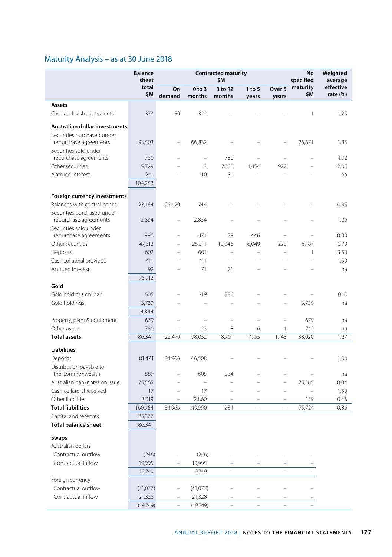# Maturity Analysis – as at 30 June 2018

|                                                   | <b>Balance</b><br>sheet | <b>Contracted maturity</b><br>\$M |                                |                                 |                          |                            | No<br>specified                    | Weighted<br>average   |
|---------------------------------------------------|-------------------------|-----------------------------------|--------------------------------|---------------------------------|--------------------------|----------------------------|------------------------------------|-----------------------|
|                                                   | total<br>\$M            | On<br>demand                      | $0$ to $3$<br>months           | 3 to 12<br>months               | 1 to 5<br>years          | Over <sub>5</sub><br>years | maturity<br>\$M                    | effective<br>rate (%) |
| Assets                                            |                         |                                   |                                |                                 |                          |                            |                                    |                       |
| Cash and cash equivalents                         | 373                     | 50                                | 322                            |                                 |                          |                            | 1                                  | 1.25                  |
| Australian dollar investments                     |                         |                                   |                                |                                 |                          |                            |                                    |                       |
| Securities purchased under                        |                         |                                   |                                |                                 |                          |                            |                                    |                       |
| repurchase agreements                             | 93,503                  | $\overline{\phantom{0}}$          | 66,832                         |                                 |                          | $\overline{\phantom{0}}$   | 26,671                             | 1.85                  |
| Securities sold under                             |                         |                                   |                                |                                 |                          |                            |                                    |                       |
| repurchase agreements                             | 780                     | $\equiv$                          | $\overline{a}$                 | 780                             |                          | L.                         |                                    | 1.92                  |
| Other securities                                  | 9,729                   |                                   | 3                              | 7,350                           | 1,454                    | 922                        |                                    | 2.05                  |
| Accrued interest                                  | 241                     |                                   | 210                            | 31                              |                          |                            |                                    | na                    |
|                                                   | 104,253                 |                                   |                                |                                 |                          |                            |                                    |                       |
| Foreign currency investments                      |                         |                                   |                                |                                 |                          |                            |                                    |                       |
| Balances with central banks                       | 23,164                  | 22,420                            | 744                            |                                 |                          |                            |                                    | 0.05                  |
| Securities purchased under                        |                         |                                   |                                |                                 |                          |                            |                                    |                       |
| repurchase agreements                             | 2,834                   |                                   | 2,834                          |                                 |                          |                            |                                    | 1.26                  |
| Securities sold under                             |                         |                                   |                                |                                 |                          |                            |                                    |                       |
| repurchase agreements                             | 996                     | $\overline{\phantom{0}}$          | 471                            | 79                              | 446                      | ÷                          |                                    | 0.80                  |
| Other securities                                  | 47,813                  | $\overline{\phantom{0}}$          | 25,311                         | 10,046                          | 6,049                    | 220                        | 6,187                              | 0.70                  |
| Deposits                                          | 602                     | $\overline{\phantom{0}}$          | 601                            | $\qquad \qquad -$               |                          | $\overline{\phantom{0}}$   | 1<br>-                             | 3.50                  |
| Cash collateral provided<br>Accrued interest      | 411<br>92               |                                   | 411<br>71                      | ÷,<br>21                        |                          |                            |                                    | 1.50                  |
|                                                   | 75,912                  |                                   |                                |                                 |                          |                            |                                    | na                    |
| Gold                                              |                         |                                   |                                |                                 |                          |                            |                                    |                       |
| Gold holdings on loan                             | 605                     |                                   | 219                            | 386                             |                          |                            |                                    | 0.15                  |
| Gold holdings                                     | 3,739                   |                                   |                                |                                 |                          |                            | 3,739                              | na                    |
|                                                   | 4,344                   |                                   |                                |                                 |                          |                            |                                    |                       |
| Property, plant & equipment                       | 679                     | $\overline{\phantom{0}}$          | ÷                              | $\overline{a}$                  | i.                       | $\overline{\phantom{0}}$   | 679                                | na                    |
| Other assets                                      | 780                     | $\overline{\phantom{0}}$          | 23                             | 8                               | 6                        | 1                          | 742                                | na                    |
| <b>Total assets</b>                               | 186,341                 | 22,470                            | 98,052                         | 18,701                          | 7,955                    | 1,143                      | 38,020                             | 1.27                  |
|                                                   |                         |                                   |                                |                                 |                          |                            |                                    |                       |
| Liabilities                                       |                         |                                   |                                |                                 |                          |                            |                                    |                       |
| Deposits                                          | 81,474                  | 34,966                            | 46,508                         |                                 |                          |                            |                                    | 1.63                  |
| Distribution payable to                           |                         |                                   |                                |                                 |                          |                            |                                    |                       |
| the Commonwealth<br>Australian banknotes on issue | 889                     | $\equiv$                          | 605                            | 284<br>$\overline{\phantom{0}}$ |                          |                            |                                    | na                    |
| Cash collateral received                          | 75,565<br>17            |                                   | $\overline{\phantom{0}}$<br>17 | $\overline{\phantom{0}}$        |                          | i.                         | 75,565<br>$\overline{\phantom{a}}$ | 0.04<br>1.50          |
| Other liabilities                                 | 3,019                   | $\qquad \qquad -$                 | 2,860                          | i.                              | $\overline{\phantom{0}}$ | $\overline{\phantom{a}}$   | 159                                | 0.46                  |
| <b>Total liabilities</b>                          | 160,964                 | 34,966                            | 49,990                         | 284                             | $\equiv$                 | $\overline{\phantom{0}}$   | 75,724                             | 0.86                  |
| Capital and reserves                              | 25,377                  |                                   |                                |                                 |                          |                            |                                    |                       |
| <b>Total balance sheet</b>                        | 186,341                 |                                   |                                |                                 |                          |                            |                                    |                       |
|                                                   |                         |                                   |                                |                                 |                          |                            |                                    |                       |
| Swaps                                             |                         |                                   |                                |                                 |                          |                            |                                    |                       |
| Australian dollars                                |                         |                                   |                                |                                 |                          |                            |                                    |                       |
| Contractual outflow                               | (246)                   |                                   | (246)                          | $\overline{\phantom{0}}$        |                          |                            |                                    |                       |
| Contractual inflow                                | 19,995                  | ÷,                                | 19,995                         |                                 |                          |                            |                                    |                       |
|                                                   | 19,749                  | $\overline{a}$                    | 19,749                         | $\equiv$                        | $\equiv$                 |                            |                                    |                       |
| Foreign currency                                  |                         |                                   |                                |                                 |                          |                            |                                    |                       |
| Contractual outflow                               | (41, 077)               | $\overline{\phantom{0}}$          | (41,077)                       | $\overline{\phantom{0}}$        |                          |                            |                                    |                       |
| Contractual inflow                                | 21,328                  |                                   | 21,328                         |                                 | $\overline{\phantom{0}}$ |                            |                                    |                       |
|                                                   | (19, 749)               |                                   | (19, 749)                      |                                 |                          |                            |                                    |                       |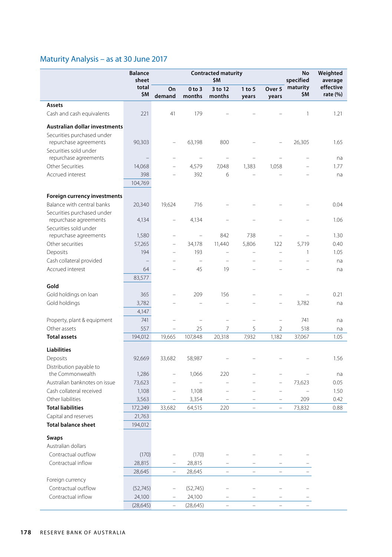# Maturity Analysis – as at 30 June 2017

|                                                     | <b>Balance</b><br>sheet | <b>Contracted maturity</b><br>\$M |                          |                          |                          |                          |                   |                          |  | No<br>specified | Weighted<br>average |
|-----------------------------------------------------|-------------------------|-----------------------------------|--------------------------|--------------------------|--------------------------|--------------------------|-------------------|--------------------------|--|-----------------|---------------------|
|                                                     | total<br>\$M            | On<br>demand                      | 0 to 3<br>months         | 3 to 12<br>months        | 1 to 5<br>years          | Over 5<br>years          | maturity<br>\$M   | effective<br>rate $(\%)$ |  |                 |                     |
| Assets                                              |                         |                                   |                          |                          |                          |                          |                   |                          |  |                 |                     |
| Cash and cash equivalents                           | 221                     | 41                                | 179                      |                          |                          |                          | 1                 | 1.21                     |  |                 |                     |
| Australian dollar investments                       |                         |                                   |                          |                          |                          |                          |                   |                          |  |                 |                     |
| Securities purchased under<br>repurchase agreements | 90,303                  | $\overline{\phantom{0}}$          | 63,198                   | 800                      |                          |                          | 26,305            | 1.65                     |  |                 |                     |
| Securities sold under<br>repurchase agreements      |                         | $\overline{\phantom{0}}$          | ÷,                       | $\overline{a}$           |                          |                          |                   | na                       |  |                 |                     |
| Other Securities                                    | 14,068                  |                                   | 4,579                    | 7,048                    | 1,383                    | 1,058                    |                   | 1.77                     |  |                 |                     |
| Accrued interest                                    | 398                     |                                   | 392                      | 6                        |                          |                          |                   | na                       |  |                 |                     |
|                                                     | 104,769                 |                                   |                          |                          |                          |                          |                   |                          |  |                 |                     |
| Foreign currency investments                        |                         |                                   |                          |                          |                          |                          |                   |                          |  |                 |                     |
| Balance with central banks                          | 20,340                  | 19,624                            | 716                      |                          |                          |                          |                   | 0.04                     |  |                 |                     |
| Securities purchased under                          |                         |                                   |                          |                          |                          |                          |                   |                          |  |                 |                     |
| repurchase agreements                               | 4,134                   | $\overline{\phantom{0}}$          | 4,134                    |                          |                          |                          |                   | 1.06                     |  |                 |                     |
| Securities sold under                               |                         |                                   |                          |                          |                          |                          |                   |                          |  |                 |                     |
| repurchase agreements                               | 1,580                   |                                   | $\qquad \qquad -$        | 842                      | 738                      | $\overline{\phantom{0}}$ |                   | 1.30                     |  |                 |                     |
| Other securities                                    | 57,265                  | $\overline{\phantom{0}}$          | 34,178                   | 11,440                   | 5,806                    | 122                      | 5,719             | 0.40                     |  |                 |                     |
| Deposits                                            | 194                     | $\overline{\phantom{0}}$          | 193                      | $\overline{\phantom{0}}$ |                          | L                        | 1                 | 1.05                     |  |                 |                     |
| Cash collateral provided                            | $\qquad \qquad -$       |                                   | $\qquad \qquad -$        | $\overline{\phantom{a}}$ |                          |                          | L.                | na                       |  |                 |                     |
| Accrued interest                                    | 64                      |                                   | 45                       | 19                       | ۳                        |                          |                   | na                       |  |                 |                     |
|                                                     | 83,577                  |                                   |                          |                          |                          |                          |                   |                          |  |                 |                     |
| Gold                                                |                         |                                   |                          |                          |                          |                          |                   |                          |  |                 |                     |
| Gold holdings on loan                               | 365                     |                                   | 209                      | 156                      |                          |                          |                   | 0.21                     |  |                 |                     |
| Gold holdings                                       | 3,782                   |                                   |                          |                          |                          | ÷                        | 3,782             | na                       |  |                 |                     |
|                                                     | 4,147                   |                                   |                          |                          |                          |                          |                   |                          |  |                 |                     |
| Property, plant & equipment                         | 741                     | $\overline{\phantom{0}}$          | $\qquad \qquad -$        | $\qquad \qquad -$        | ÷,                       | $\overline{\phantom{0}}$ | 741               | na                       |  |                 |                     |
| Other assets                                        | 557                     | $\qquad \qquad -$                 | 25                       | 7                        | 5                        | 2                        | 518               | na                       |  |                 |                     |
| <b>Total assets</b>                                 | 194,012                 | 19,665                            | 107,848                  | 20,318                   | 7,932                    | 1,182                    | 37,067            | 1.05                     |  |                 |                     |
| <b>Liabilities</b>                                  |                         |                                   |                          |                          |                          |                          |                   |                          |  |                 |                     |
| Deposits                                            | 92,669                  | 33,682                            | 58,987                   |                          |                          |                          |                   | 1.56                     |  |                 |                     |
| Distribution payable to                             |                         |                                   |                          |                          |                          |                          |                   |                          |  |                 |                     |
| the Commonwealth                                    | 1,286                   | $\overline{\phantom{0}}$          | 1,066                    | 220                      |                          | -                        |                   | na                       |  |                 |                     |
| Australian banknotes on issue                       | 73,623                  |                                   | $\overline{\phantom{m}}$ | $\overline{\phantom{0}}$ |                          | L.                       | 73,623            | 0.05                     |  |                 |                     |
| Cash collateral received                            | 1,108                   | $\overline{\phantom{0}}$          | 1,108                    | $\overline{\phantom{0}}$ |                          | $\overline{\phantom{0}}$ | $\qquad \qquad -$ | 1.50                     |  |                 |                     |
| Other liabilities                                   | 3,563                   | $\overline{\phantom{0}}$          | 3,354                    | $\qquad \qquad -$        | $\qquad \qquad -$        | $\qquad \qquad -$        | 209               | 0.42                     |  |                 |                     |
| <b>Total liabilities</b>                            | 172,249                 | 33,682                            | 64,515                   | 220                      | $\overline{\phantom{0}}$ | $\overline{\phantom{0}}$ | 73,832            | 0.88                     |  |                 |                     |
| Capital and reserves                                | 21,763                  |                                   |                          |                          |                          |                          |                   |                          |  |                 |                     |
| <b>Total balance sheet</b>                          | 194,012                 |                                   |                          |                          |                          |                          |                   |                          |  |                 |                     |
| <b>Swaps</b>                                        |                         |                                   |                          |                          |                          |                          |                   |                          |  |                 |                     |
| Australian dollars                                  |                         |                                   |                          |                          |                          |                          |                   |                          |  |                 |                     |
| Contractual outflow                                 | (170)                   | $\overline{\phantom{0}}$          | (170)                    | ÷,                       |                          |                          |                   |                          |  |                 |                     |
| Contractual inflow                                  | 28,815                  | $\qquad \qquad -$                 | 28,815                   |                          |                          |                          |                   |                          |  |                 |                     |
|                                                     | 28,645                  | $\equiv$                          | 28,645                   | ÷                        | $\equiv$                 | L.                       |                   |                          |  |                 |                     |
| Foreign currency                                    |                         |                                   |                          |                          |                          |                          |                   |                          |  |                 |                     |
| Contractual outflow                                 | (52, 745)               | $\overline{\phantom{0}}$          | (52,745)                 | $\overline{\phantom{0}}$ |                          |                          |                   |                          |  |                 |                     |
| Contractual inflow                                  | 24,100                  |                                   | 24,100                   |                          |                          |                          |                   |                          |  |                 |                     |
|                                                     | (28, 645)               | $\overline{a}$                    | (28, 645)                |                          |                          |                          |                   |                          |  |                 |                     |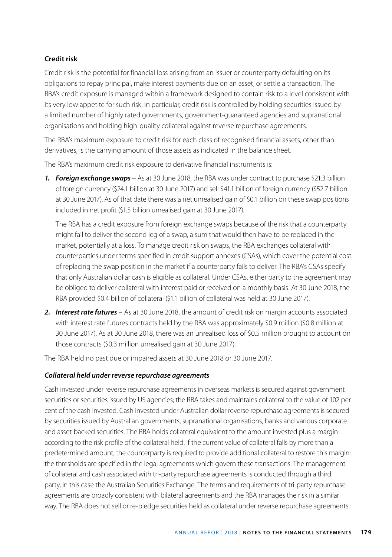### **Credit risk**

Credit risk is the potential for financial loss arising from an issuer or counterparty defaulting on its obligations to repay principal, make interest payments due on an asset, or settle a transaction. The RBA's credit exposure is managed within a framework designed to contain risk to a level consistent with its very low appetite for such risk. In particular, credit risk is controlled by holding securities issued by a limited number of highly rated governments, government-guaranteed agencies and supranational organisations and holding high-quality collateral against reverse repurchase agreements.

The RBA's maximum exposure to credit risk for each class of recognised financial assets, other than derivatives, is the carrying amount of those assets as indicated in the balance sheet.

The RBA's maximum credit risk exposure to derivative financial instruments is:

*1. Foreign exchange swaps* – As at 30 June 2018, the RBA was under contract to purchase \$21.3 billion of foreign currency (\$24.1 billion at 30 June 2017) and sell \$41.1 billion of foreign currency (\$52.7 billion at 30 June 2017). As of that date there was a net unrealised gain of \$0.1 billion on these swap positions included in net profit (\$1.5 billion unrealised gain at 30 June 2017).

The RBA has a credit exposure from foreign exchange swaps because of the risk that a counterparty might fail to deliver the second leg of a swap, a sum that would then have to be replaced in the market, potentially at a loss. To manage credit risk on swaps, the RBA exchanges collateral with counterparties under terms specified in credit support annexes (CSAs), which cover the potential cost of replacing the swap position in the market if a counterparty fails to deliver. The RBA's CSAs specify that only Australian dollar cash is eligible as collateral. Under CSAs, either party to the agreement may be obliged to deliver collateral with interest paid or received on a monthly basis. At 30 June 2018, the RBA provided \$0.4 billion of collateral (\$1.1 billion of collateral was held at 30 June 2017).

*2. Interest rate futures* – As at 30 June 2018, the amount of credit risk on margin accounts associated with interest rate futures contracts held by the RBA was approximately \$0.9 million (\$0.8 million at 30 June 2017). As at 30 June 2018, there was an unrealised loss of \$0.5 million brought to account on those contracts (\$0.3 million unrealised gain at 30 June 2017).

The RBA held no past due or impaired assets at 30 June 2018 or 30 June 2017.

### *Collateral held under reverse repurchase agreements*

Cash invested under reverse repurchase agreements in overseas markets is secured against government securities or securities issued by US agencies; the RBA takes and maintains collateral to the value of 102 per cent of the cash invested. Cash invested under Australian dollar reverse repurchase agreements is secured by securities issued by Australian governments, supranational organisations, banks and various corporate and asset-backed securities. The RBA holds collateral equivalent to the amount invested plus a margin according to the risk profile of the collateral held. If the current value of collateral falls by more than a predetermined amount, the counterparty is required to provide additional collateral to restore this margin; the thresholds are specified in the legal agreements which govern these transactions. The management of collateral and cash associated with tri-party repurchase agreements is conducted through a third party, in this case the Australian Securities Exchange. The terms and requirements of tri-party repurchase agreements are broadly consistent with bilateral agreements and the RBA manages the risk in a similar way. The RBA does not sell or re-pledge securities held as collateral under reverse repurchase agreements.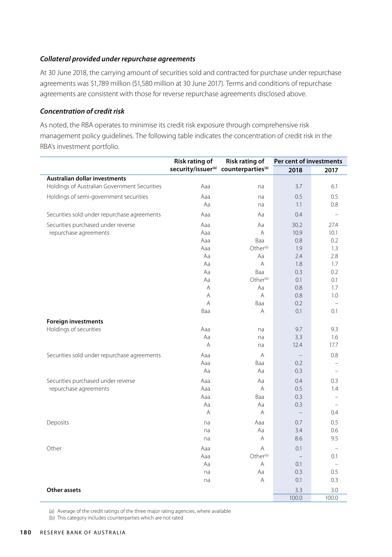### *Collateral provided under repurchase agreements*

At 30 June 2018, the carrying amount of securities sold and contracted for purchase under repurchase agreements was \$1,789 million (\$1,580 million at 30 June 2017). Terms and conditions of repurchase agreements are consistent with those for reverse repurchase agreements disclosed above.

### *Concentration of credit risk*

As noted, the RBA operates to minimise its credit risk exposure through comprehensive risk management policy guidelines. The following table indicates the concentration of credit risk in the RBA's investment portfolio.

|                                              | <b>Risk rating of</b>          | <b>Risk rating of</b>         | Per cent of investments |       |  |
|----------------------------------------------|--------------------------------|-------------------------------|-------------------------|-------|--|
|                                              | security/issuer <sup>(a)</sup> | counterparties <sup>(a)</sup> | 2018                    | 2017  |  |
| Australian dollar investments                |                                |                               |                         |       |  |
| Holdings of Australian Government Securities | Aaa                            | na                            | 3.7                     | 6.1   |  |
| Holdings of semi-government securities       | Aaa                            | na                            | 0.5                     | 0.5   |  |
|                                              | Aa                             | na                            | 1.1                     | 0.8   |  |
| Securities sold under repurchase agreements  | Aaa                            | Aa                            | 0.4                     |       |  |
| Securities purchased under reverse           | Aaa                            | Aa                            | 30.2                    | 27.4  |  |
| repurchase agreements                        | Aaa                            | A                             | 10.9                    | 10.1  |  |
|                                              | Aaa                            | Baa                           | 0.8                     | 0.2   |  |
|                                              | Aaa                            | Other <sup>(b)</sup>          | 1.9                     | 1.3   |  |
|                                              | Aa                             | Aa                            | 2.4                     | 2.8   |  |
|                                              | Aa                             | Α                             | 1.8                     | 1.7   |  |
|                                              | Aa                             | Baa                           | 0.3                     | 0.2   |  |
|                                              | Aa                             | Other <sup>(b)</sup>          | 0.1                     | 0.1   |  |
|                                              | Α                              | Aa                            | 0.8                     | 1.7   |  |
|                                              | Α                              | A                             | 0.8                     | 1.0   |  |
|                                              | A                              | Baa                           | 0.2                     |       |  |
|                                              | Baa                            | A                             | 0.1                     | 0.1   |  |
| <b>Foreign investments</b>                   |                                |                               |                         |       |  |
| Holdings of securities                       | Aaa                            | na                            | 9.7                     | 9.3   |  |
|                                              | Aa                             | na                            | 3.3                     | 1.6   |  |
|                                              | A                              | na                            | 12.4                    | 17.7  |  |
| Securities sold under repurchase agreements  | Aaa                            | A                             |                         | 0.8   |  |
|                                              | Aaa                            | Baa                           | 0.2                     |       |  |
|                                              | Aa                             | Aa                            | 0.3                     |       |  |
| Securities purchased under reverse           | Aaa                            | Aa                            | 0.4                     | 0.3   |  |
| repurchase agreements                        | Aaa                            | A                             | 0.5                     | 1.4   |  |
|                                              | Aaa                            | Baa                           | 0.3                     |       |  |
|                                              | Aa                             | Aa                            | 0.3                     |       |  |
|                                              | A                              | A                             |                         | 0.4   |  |
| Deposits                                     | na                             | Aaa                           | 0.7                     | 0.5   |  |
|                                              | na                             | Aa                            | 3.4                     | 0.6   |  |
|                                              | na                             | Α                             | 8.6                     | 9.5   |  |
| Other                                        | Aaa                            | A                             | 0.1                     |       |  |
|                                              | Aaa                            | Other <sup>(b)</sup>          | $\qquad \qquad -$       | 0.1   |  |
|                                              | Aa                             | A                             | 0.1                     |       |  |
|                                              | na                             | Aa                            | 0.3                     | 0.5   |  |
|                                              | na                             | A                             | 0.1                     | 0.3   |  |
| <b>Other assets</b>                          |                                |                               | 3.3                     | 3.0   |  |
|                                              |                                |                               | 100.0                   | 100.0 |  |

(a) Average of the credit ratings of the three major rating agencies, where available

(b) This category includes counterparties which are not rated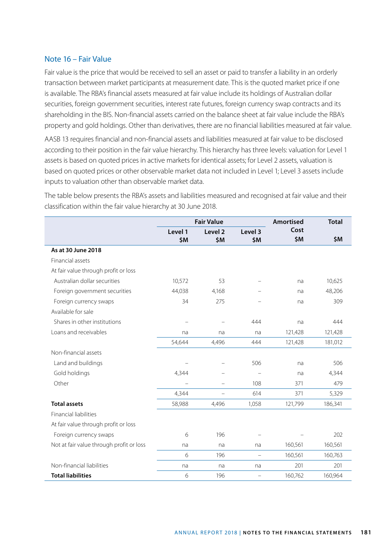### Note 16 – Fair Value

Fair value is the price that would be received to sell an asset or paid to transfer a liability in an orderly transaction between market participants at measurement date. This is the quoted market price if one is available. The RBA's financial assets measured at fair value include its holdings of Australian dollar securities, foreign government securities, interest rate futures, foreign currency swap contracts and its shareholding in the BIS. Non-financial assets carried on the balance sheet at fair value include the RBA's property and gold holdings. Other than derivatives, there are no financial liabilities measured at fair value.

AASB 13 requires financial and non-financial assets and liabilities measured at fair value to be disclosed according to their position in the fair value hierarchy. This hierarchy has three levels: valuation for Level 1 assets is based on quoted prices in active markets for identical assets; for Level 2 assets, valuation is based on quoted prices or other observable market data not included in Level 1; Level 3 assets include inputs to valuation other than observable market data.

|                                          |                | <b>Fair Value</b>         | <b>Amortised</b>  | <b>Total</b> |         |
|------------------------------------------|----------------|---------------------------|-------------------|--------------|---------|
|                                          | Level 1<br>\$M | Level <sub>2</sub><br>\$M | Level 3<br>\$M    | Cost<br>\$M  | \$M     |
| As at 30 June 2018                       |                |                           |                   |              |         |
| Financial assets                         |                |                           |                   |              |         |
| At fair value through profit or loss     |                |                           |                   |              |         |
| Australian dollar securities             | 10,572         | 53                        |                   | na           | 10,625  |
| Foreign government securities            | 44,038         | 4.168                     |                   | na           | 48,206  |
| Foreign currency swaps                   | 34             | 275                       |                   | na           | 309     |
| Available for sale                       |                |                           |                   |              |         |
| Shares in other institutions             |                |                           | 444               | na           | 444     |
| Loans and receivables                    | na             | na                        | na                | 121,428      | 121,428 |
|                                          | 54,644         | 4,496                     | 444               | 121,428      | 181,012 |
| Non-financial assets                     |                |                           |                   |              |         |
| Land and buildings                       |                |                           | 506               | na           | 506     |
| Gold holdings                            | 4.344          |                           |                   | na           | 4,344   |
| Other                                    |                | $\overline{\phantom{0}}$  | 108               | 371          | 479     |
|                                          | 4,344          |                           | 614               | 371          | 5,329   |
| <b>Total assets</b>                      | 58,988         | 4,496                     | 1,058             | 121,799      | 186,341 |
| <b>Financial liabilities</b>             |                |                           |                   |              |         |
| At fair value through profit or loss     |                |                           |                   |              |         |
| Foreign currency swaps                   | 6              | 196                       |                   |              | 202     |
| Not at fair value through profit or loss | na             | na                        | na                | 160,561      | 160,561 |
|                                          | 6              | 196                       | $\equiv$          | 160,561      | 160,763 |
| Non-financial liabilities                | na             | na                        | na                | 201          | 201     |
| <b>Total liabilities</b>                 | 6              | 196                       | $\qquad \qquad -$ | 160,762      | 160,964 |

The table below presents the RBA's assets and liabilities measured and recognised at fair value and their classification within the fair value hierarchy at 30 June 2018.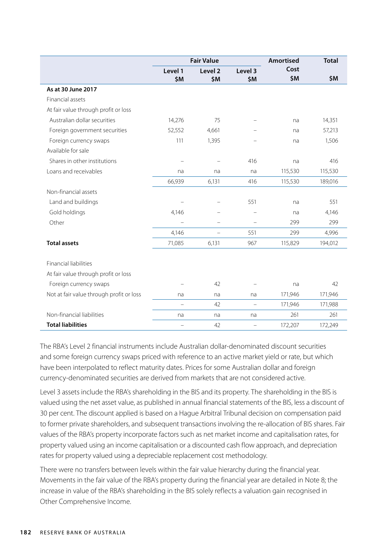|                                          |                          | <b>Fair Value</b>         | <b>Amortised</b>         | <b>Total</b> |         |
|------------------------------------------|--------------------------|---------------------------|--------------------------|--------------|---------|
|                                          | Level 1<br>\$M           | Level <sub>2</sub><br>\$M | Level 3<br>\$M           | Cost<br>\$M  | \$M     |
| As at 30 June 2017                       |                          |                           |                          |              |         |
| Financial assets                         |                          |                           |                          |              |         |
| At fair value through profit or loss     |                          |                           |                          |              |         |
| Australian dollar securities             | 14,276                   | 75                        |                          | na           | 14,351  |
| Foreign government securities            | 52,552                   | 4,661                     |                          | na           | 57,213  |
| Foreign currency swaps                   | 111                      | 1,395                     |                          | na           | 1,506   |
| Available for sale                       |                          |                           |                          |              |         |
| Shares in other institutions             |                          |                           | 416                      | na           | 416     |
| Loans and receivables                    | na                       | na                        | na                       | 115,530      | 115,530 |
|                                          | 66,939                   | 6,131                     | 416                      | 115,530      | 189,016 |
| Non-financial assets                     |                          |                           |                          |              |         |
| Land and buildings                       |                          |                           | 551                      | na           | 551     |
| Gold holdings                            | 4,146                    |                           |                          | na           | 4,146   |
| Other                                    | $\equiv$                 |                           |                          | 299          | 299     |
|                                          | 4,146                    |                           | 551                      | 299          | 4,996   |
| <b>Total assets</b>                      | 71,085                   | 6,131                     | 967                      | 115,829      | 194,012 |
| <b>Financial liabilities</b>             |                          |                           |                          |              |         |
| At fair value through profit or loss     |                          |                           |                          |              |         |
| Foreign currency swaps                   |                          | 42                        |                          | na           | 42      |
| Not at fair value through profit or loss | na                       | na                        | na                       | 171,946      | 171,946 |
|                                          | $\overline{\phantom{0}}$ | 42                        | -                        | 171,946      | 171,988 |
| Non-financial liabilities                | na                       | na                        | na                       | 261          | 261     |
| <b>Total liabilities</b>                 | $\overline{\phantom{0}}$ | 42                        | $\overline{\phantom{0}}$ | 172,207      | 172,249 |

The RBA's Level 2 financial instruments include Australian dollar-denominated discount securities and some foreign currency swaps priced with reference to an active market yield or rate, but which have been interpolated to reflect maturity dates. Prices for some Australian dollar and foreign currency-denominated securities are derived from markets that are not considered active.

Level 3 assets include the RBA's shareholding in the BIS and its property. The shareholding in the BIS is valued using the net asset value, as published in annual financial statements of the BIS, less a discount of 30 per cent. The discount applied is based on a Hague Arbitral Tribunal decision on compensation paid to former private shareholders, and subsequent transactions involving the re-allocation of BIS shares. Fair values of the RBA's property incorporate factors such as net market income and capitalisation rates, for property valued using an income capitalisation or a discounted cash flow approach, and depreciation rates for property valued using a depreciable replacement cost methodology.

There were no transfers between levels within the fair value hierarchy during the financial year. Movements in the fair value of the RBA's property during the financial year are detailed in Note 8; the increase in value of the RBA's shareholding in the BIS solely reflects a valuation gain recognised in Other Comprehensive Income.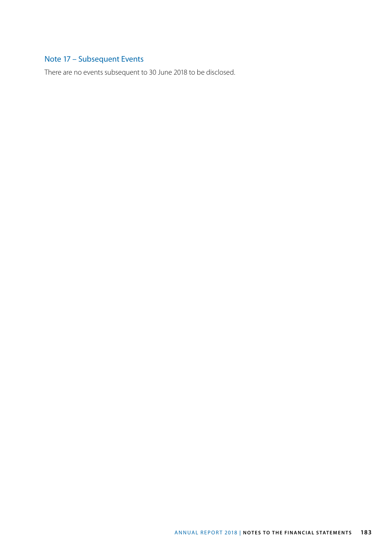## Note 17 – Subsequent Events

There are no events subsequent to 30 June 2018 to be disclosed.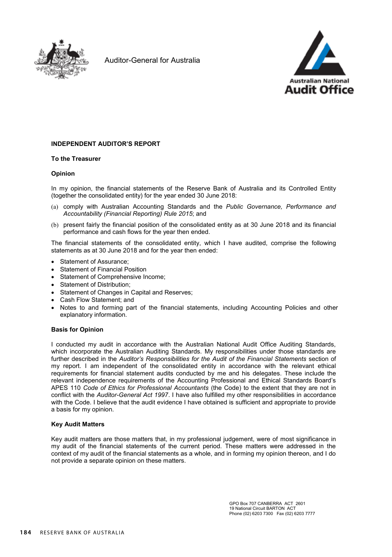

Auditor-General for Australia



#### **INDEPENDENT AUDITOR'S REPORT**

#### **To the Treasurer**

#### **Opinion**

In my opinion, the financial statements of the Reserve Bank of Australia and its Controlled Entity (together the consolidated entity) for the year ended 30 June 2018:

- (a) comply with Australian Accounting Standards and the *Public Governance, Performance and Accountability (Financial Reporting) Rule 2015*; and
- (b) present fairly the financial position of the consolidated entity as at 30 June 2018 and its financial performance and cash flows for the year then ended.

The financial statements of the consolidated entity, which I have audited, comprise the following statements as at 30 June 2018 and for the year then ended:

- Statement of Assurance;
- Statement of Financial Position
- Statement of Comprehensive Income:
- Statement of Distribution;
- Statement of Changes in Capital and Reserves;
- Cash Flow Statement; and
- Notes to and forming part of the financial statements, including Accounting Policies and other explanatory information.

#### **Basis for Opinion**

I conducted my audit in accordance with the Australian National Audit Office Auditing Standards, which incorporate the Australian Auditing Standards. My responsibilities under those standards are further described in the *Auditor's Responsibilities for the Audit of the Financial Statements* section of my report. I am independent of the consolidated entity in accordance with the relevant ethical requirements for financial statement audits conducted by me and his delegates. These include the relevant independence requirements of the Accounting Professional and Ethical Standards Board's APES 110 *Code of Ethics for Professional Accountants* (the Code) to the extent that they are not in conflict with the *Auditor-General Act 1997*. I have also fulfilled my other responsibilities in accordance with the Code. I believe that the audit evidence I have obtained is sufficient and appropriate to provide a basis for my opinion.

#### **Key Audit Matters**

Key audit matters are those matters that, in my professional judgement, were of most significance in my audit of the financial statements of the current period. These matters were addressed in the context of my audit of the financial statements as a whole, and in forming my opinion thereon, and I do not provide a separate opinion on these matters.

> GPO Box 707 CANBERRA ACT 2601 19 National Circuit BARTON ACT Phone (02) 6203 7300 Fax (02) 6203 7777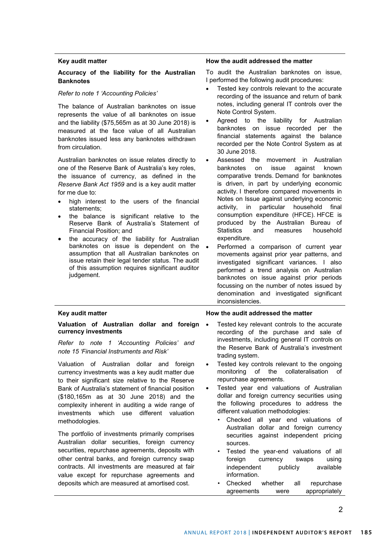#### **Key audit matter**

#### **Accuracy of the liability for the Australian Banknotes**

#### *Refer to note 1 'Accounting Policies'*

The balance of Australian banknotes on issue represents the value of all banknotes on issue and the liability (\$75,565m as at 30 June 2018) is measured at the face value of all Australian banknotes issued less any banknotes withdrawn from circulation.

Australian banknotes on issue relates directly to one of the Reserve Bank of Australia's key roles, the issuance of currency, as defined in the *Reserve Bank Act 1959* and is a key audit matter for me due to:

- high interest to the users of the financial statements;
- the balance is significant relative to the Reserve Bank of Australia's Statement of Financial Position; and
- the accuracy of the liability for Australian banknotes on issue is dependent on the • assumption that all Australian banknotes on issue retain their legal tender status. The audit of this assumption requires significant auditor judgement.

#### **How the audit addressed the matter**

To audit the Australian banknotes on issue, I performed the following audit procedures:

- Tested key controls relevant to the accurate recording of the issuance and return of bank notes, including general IT controls over the Note Control System.
- Agreed to the liability for Australian banknotes on issue recorded per the financial statements against the balance recorded per the Note Control System as at 30 June 2018.
- Assessed the movement in Australian banknotes on issue against known comparative trends. Demand for banknotes is driven, in part by underlying economic activity. I therefore compared movements in Notes on Issue against underlying economic activity, in particular household final consumption expenditure (HFCE). HFCE is produced by the Australian Bureau of<br>Statistics and measures household measures expenditure.
- Performed a comparison of current year movements against prior year patterns, and investigated significant variances. I also performed a trend analysis on Australian banknotes on issue against prior periods focussing on the number of notes issued by denomination and investigated significant inconsistencies.

#### **Key audit matter**

#### **Valuation of Australian dollar and foreign currency investments**

*Refer to note 1 'Accounting Policies' and note 15 'Financial Instruments and Risk'*

Valuation of Australian dollar and foreign currency investments was a key audit matter due to their significant size relative to the Reserve Bank of Australia's statement of financial position (\$180,165m as at 30 June 2018) and the complexity inherent in auditing a wide range of investments which use different valuation methodologies.

The portfolio of investments primarily comprises Australian dollar securities, foreign currency securities, repurchase agreements, deposits with other central banks, and foreign currency swap contracts. All investments are measured at fair value except for repurchase agreements and deposits which are measured at amortised cost.

#### **How the audit addressed the matter**

- Tested key relevant controls to the accurate recording of the purchase and sale of investments, including general IT controls on the Reserve Bank of Australia's investment trading system.
- Tested key controls relevant to the ongoing monitoring of the collateralisation of repurchase agreements.
- Tested year end valuations of Australian dollar and foreign currency securities using the following procedures to address the different valuation methodologies:
	- Checked all year end valuations of Australian dollar and foreign currency securities against independent pricing sources.
	- Tested the year-end valuations of all foreign currency swaps using independent publicly available information.
	- Checked whether all repurchase agreements were appropriately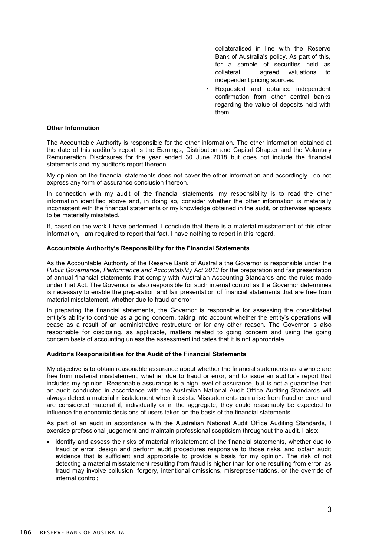|   | collateralised in line with the Reserve<br>Bank of Australia's policy. As part of this,<br>for a sample of securities held as<br>collateral I agreed valuations to<br>independent pricing sources. |
|---|----------------------------------------------------------------------------------------------------------------------------------------------------------------------------------------------------|
| ٠ | Requested and obtained independent<br>confirmation from other central banks<br>regarding the value of deposits held with<br>them.                                                                  |

#### **Other Information**

The Accountable Authority is responsible for the other information. The other information obtained at the date of this auditor's report is the Earnings, Distribution and Capital Chapter and the Voluntary Remuneration Disclosures for the year ended 30 June 2018 but does not include the financial statements and my auditor's report thereon.

My opinion on the financial statements does not cover the other information and accordingly I do not express any form of assurance conclusion thereon.

In connection with my audit of the financial statements, my responsibility is to read the other information identified above and, in doing so, consider whether the other information is materially inconsistent with the financial statements or my knowledge obtained in the audit, or otherwise appears to be materially misstated.

If, based on the work I have performed, I conclude that there is a material misstatement of this other information, I am required to report that fact. I have nothing to report in this regard.

#### **Accountable Authority's Responsibility for the Financial Statements**

As the Accountable Authority of the Reserve Bank of Australia the Governor is responsible under the *Public Governance, Performance and Accountability Act 2013* for the preparation and fair presentation of annual financial statements that comply with Australian Accounting Standards and the rules made under that Act. The Governor is also responsible for such internal control as the Governor determines is necessary to enable the preparation and fair presentation of financial statements that are free from material misstatement, whether due to fraud or error.

In preparing the financial statements, the Governor is responsible for assessing the consolidated entity's ability to continue as a going concern, taking into account whether the entity's operations will cease as a result of an administrative restructure or for any other reason. The Governor is also responsible for disclosing, as applicable, matters related to going concern and using the going concern basis of accounting unless the assessment indicates that it is not appropriate.

#### **Auditor's Responsibilities for the Audit of the Financial Statements**

My objective is to obtain reasonable assurance about whether the financial statements as a whole are free from material misstatement, whether due to fraud or error, and to issue an auditor's report that includes my opinion. Reasonable assurance is a high level of assurance, but is not a guarantee that an audit conducted in accordance with the Australian National Audit Office Auditing Standards will always detect a material misstatement when it exists. Misstatements can arise from fraud or error and are considered material if, individually or in the aggregate, they could reasonably be expected to influence the economic decisions of users taken on the basis of the financial statements.

As part of an audit in accordance with the Australian National Audit Office Auditing Standards, I exercise professional judgement and maintain professional scepticism throughout the audit. I also:

 identify and assess the risks of material misstatement of the financial statements, whether due to fraud or error, design and perform audit procedures responsive to those risks, and obtain audit evidence that is sufficient and appropriate to provide a basis for my opinion. The risk of not detecting a material misstatement resulting from fraud is higher than for one resulting from error, as fraud may involve collusion, forgery, intentional omissions, misrepresentations, or the override of internal control;